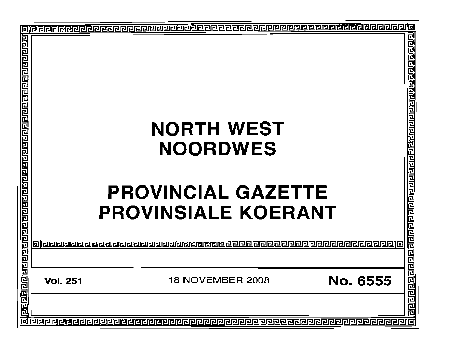| 厄                                                                                              |                 |                                     |                    |
|------------------------------------------------------------------------------------------------|-----------------|-------------------------------------|--------------------|
|                                                                                                |                 |                                     |                    |
|                                                                                                |                 |                                     |                    |
|                                                                                                |                 |                                     |                    |
|                                                                                                |                 |                                     |                    |
|                                                                                                |                 |                                     |                    |
|                                                                                                |                 |                                     |                    |
|                                                                                                |                 | <b>NORTH WEST</b>                   |                    |
|                                                                                                |                 |                                     |                    |
|                                                                                                |                 | <b>NOORDWES</b>                     |                    |
|                                                                                                |                 |                                     |                    |
|                                                                                                |                 |                                     |                    |
|                                                                                                |                 |                                     |                    |
|                                                                                                |                 | <b>PROVINCIAL GAZETTE</b>           |                    |
|                                                                                                |                 | <b>PROVINSIALE KOERANT</b>          |                    |
|                                                                                                |                 |                                     |                    |
|                                                                                                |                 |                                     |                    |
|                                                                                                | INGRA           |                                     |                    |
|                                                                                                |                 |                                     |                    |
|                                                                                                |                 |                                     |                    |
|                                                                                                | <b>Vol. 251</b> | No. 6555<br><b>18 NOVEMBER 2008</b> |                    |
|                                                                                                |                 |                                     |                    |
| <u>गिर्वाद्यागवान् नगरानुबाद्यान्नागरान्नागरान्नागरान्नागरान्नागरान्नागरान्नागरान्नागरान्न</u> |                 |                                     | वागवाग नगर नगर नगर |
|                                                                                                |                 |                                     | 同                  |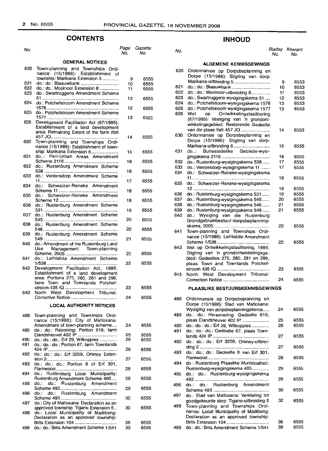## **CONTENTS INHOUD**

#### No. Page Gazette **GENERAL NOTICES** 620 Town-planning and Townships Ordinance (15/1986): Establishment of township: Marikana Extension 5 .. 621 do.: do.: Blaauwbank .. 622 do.: do.: Mooinooi Extension 8 ...............<br>623 do.: Swartruggens Amendment Scheme do.: Swartruggens Amendment Scheme 51 . 624 do.: Potchefstroom Amendment Scheme 1576 . 625 do.: Potchefstroom Amendment Scheme 1577 . 626 Development Facilitation Act (67/1995): Establishment of a land development area: Remaining Extent of the farm Ifafi 457 JQ . 630 Town-planning and Townships Ordinance (15/1986): Establishment of township: Marikana Extension 6.................... 631 do..: Peri-Urban Areas Amendment Scheme 2116 .. 632 do.: Rustenburg Amendment Scheme 538 . 633 do.: Ventersdorp Amendment Scheme 11 . 634 do.: Schweizer-Reneke Amendment Scheme 11 .. 635 do.: Schweizer-Reneke Amendment Scheme 12 .. 636 do.: Rustenburg Amendment Scheme 531 .. 637 do.: Rustenburg Amendment Scheme 545 .. 638 do.: Rustenburg Amendment Scheme 546 . 639 do.: Rustenburg Amendment Scheme 549 . 640 do.: Amendment of the Rustenburg Land Use Management Town-planning Scheme, 2005............................... 641 do.: Lethlabile Amendment Scheme 1/538 . 642 Development Facilitation Act, 1995: Establishment of a land development area: Portions 275, 280, 281 and 298, farm Town and Townlands Potchefstroom 435 IQ . 643 North West Development Tribunal: Corrective Notice .. **LOCAL AUTHORITY NOTICES** 488 Town-planning and Townships Ordinance (15/1986): City of Matlosana: Amendment of town-planning scheme.... 489 do.: do.: Rezoning: Portion 616, farm Elandsheuvel 402 IP ............................... 490 do.: do.: do.: Erf 29, Wilkoppies..............<br>491 do.: do.: do.: Portion 67, farm Townlands 491 do.: do.: do.: Portion 67, farm Townlands 424IP .. 492 do.: do.: do.: Erf 3259, Orkney Extension 2 .. 493 do.: do.: do.: Portion 6 of Erf 301, Flamwood............................ 494 do.: Rustenburg Local Municipality: Rustenburg Amendment Scheme 485.... 495 do.: do.: Rustenburg Amendment Scheme 492 . 496 do.: do.: Rustenburg Amendment Scheme 493 .. 497 do.: City of Matlosana: Declaration as an approved township: Tigane Extension 5... 498 do.: Local Municipality of Madibeng: Declaration as an approved township: Brits Extension 104 . 499 do.: do.: Brits Amendment Scheme 1/541 9 10 11 12 12 13 14 15 16 16 17 18 18 19 20 20 21 22 22 23 24  $24$ 25 26 26 27 28 28 29 30 30 36 39 6555 6555 6555 6555 6555 6555 6555 6555 6555 6555 6555 6555 6555 6555 6555 6555 6555 6555 6555 6555 6555 6555 6555 6555 6555 6555 6555 6555 6555 6555 6555 6555 6555

#### No. No. No. Bladsy Koerant No. No.

#### **ALGEMENE KENNISGEWINGS**

| 620 | Ordonnansie op Dorpsbeplanning en         |    |      |
|-----|-------------------------------------------|----|------|
|     | Dorpe (15/1986): Stigting van dorp:       |    |      |
|     | Marikana-uitbreiding 5                    | 9  | 6553 |
| 621 | do.: do.: Blaauwbank                      | 10 | 6553 |
| 622 | do.: do.: Mooinooi-uitbreiding 8          | 11 | 6553 |
| 623 | do.: Swartruggens-wysigingskema 51        | 12 | 6553 |
| 624 | do.: Potchefstroom-wysigingskema 1576     | 13 | 6553 |
| 625 | do.: Potchefstroom-wysigingskema 1577     | 13 | 6553 |
| 626 | Wet<br>Ontwikkelingsfasilitering<br>op    |    |      |
|     | (67/1995): Vestiging van 'n grondont-     |    |      |
|     | wikkelingsgebied: Resterende Gedeelte     |    |      |
|     | van die plaas Ifafi 457 JQ                | 14 | 6553 |
| 630 | Ordonnansie op Dorpsbeplanning en         |    |      |
|     | Dorpe (15/1986): Stigting van dorp:       |    |      |
|     | Marikana-uitbreiding 6                    | 15 | 6555 |
| 631 | Buitestedelike Gebiede-wysi-<br>do:       |    |      |
|     |                                           | 16 | 6555 |
| 632 | do.: Rustenburg-wysigingskema 538         | 17 | 6555 |
| 633 | do.: Ventersdorp-wysigingskema 11         | 17 | 6555 |
| 634 | do.: Schweizer-Reneke-wysigingskema       |    |      |
|     |                                           | 18 | 6555 |
| 635 | do.: Schweizer-Reneke-wysigingskema       |    |      |
|     |                                           | 19 | 6555 |
| 636 |                                           |    |      |
|     | do.: Rustenburg-wysigingskema 531         | 19 | 6555 |
| 637 | do.: Rustenburg-wysigingskema 545         | 20 | 6555 |
| 638 | do.: Rustenburg-wysigingskema 546         | 21 | 6555 |
| 639 | do.: Rustenburg-wysigingskema 549         | 21 | 6555 |
| 640 | do.: Wysiging van die Rustenburg          |    |      |
|     | Grondgebruikbestuur-dorpsbeplanning-      |    |      |
|     |                                           | 22 | 6555 |
| 641 | Town-planning and Townships Ordi-         |    |      |
|     | nance (15/1986): Lethlabile Amendment     |    |      |
|     |                                           | 22 | 6555 |
| 642 | Wet op Ontwikkelingsfasilitering, 1995:   |    |      |
|     | Stigting van 'n grondontwikkelingsge-     |    |      |
|     | bied: Gedeeltes 275, 280, 281 en 298,     |    |      |
|     | plaas Town and Townlands Potchef-         |    |      |
|     |                                           | 23 | 6555 |
| 643 | West Development Tribunal:<br>North       |    |      |
|     |                                           | 24 | 6555 |
|     |                                           |    |      |
|     | <b>PLAASLIKE BESTUURSKENNISGEWINGS</b>    |    |      |
|     |                                           |    |      |
| 488 | Ordonnansie op Dorpsbeplanning en         |    |      |
|     | Dorpe (15/1986): Stad van Matiosana:      |    |      |
|     | Wysiging van dorpsbeplanningskema         | 24 | 6555 |
| 489 | do.: do.: Hersonering: Gedeelte 616,      |    |      |
|     | plaas Elandsheuvel 402 IP                 | 25 | 6555 |
| 490 | do.: do.: do.: Erf 29, Wilkoppies         | 26 | 6555 |
| 491 | do.: do.: do.: Gedeelte 67, plaas Town-   |    |      |
|     |                                           | 27 | 6555 |
| 492 | do.: do.: do.: Erf 3259, Orkney-uitbrei-  |    |      |
|     |                                           | 27 | 6555 |
| 493 | do.: do.: do.: Gedeelte 6 van Erf 301,    |    |      |
|     |                                           | 28 | 6555 |
| 494 | do.: Rustenburg Plaaslike Munisipaliteit: |    |      |
|     | Rustenburg-wysigingskema 485              | 29 | 6555 |
| 495 | do.: do.: Rustenburg-wysigingskema        |    |      |
|     |                                           | 29 | 6555 |
|     |                                           |    |      |
| 496 | do.:<br>Rustenburg Amendment<br>do.:      |    |      |
|     |                                           | 30 | 6555 |
| 497 | do.: Stad van Matlosana: Verklaring tot   |    |      |
|     | goedgekeurde dorp: Tigane-uitbreiding 5   | 32 | 6555 |
| 498 | Town-planning and Townships Ordi-         |    |      |
|     | nance: Local Municipality of Madibeng:    |    |      |
|     | Declaration as an approved township:      |    |      |
|     |                                           | 36 | 6555 |
| 499 | do.: do.: Brits Amendment Scheme 1/541    | 39 | 6555 |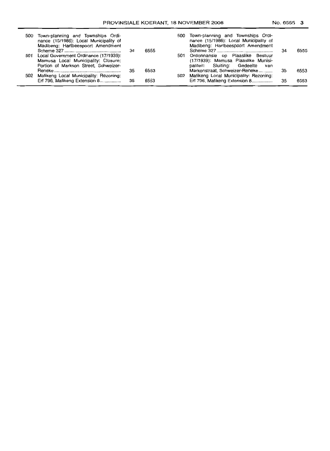| 500 Town-planning and Townships Ordi-<br>nance (15/1986): Local Municipality of<br>Madibeng: Hartbeespoort Amendment      |    |      | 500 Town-planning and Townships Ordi-<br>nance (15/1986): Local Municipality of<br>Madibeng: Hartbeespoort Amendment |     |      |
|---------------------------------------------------------------------------------------------------------------------------|----|------|----------------------------------------------------------------------------------------------------------------------|-----|------|
| 501 Local Government Ordinance (17/1939):<br>Mamusa Local Municipality: Closure:<br>Portion of Markson Street, Schweizer- |    | 6555 | 501 Ordonnansie op Plaaslike Bestuur<br>(17/1939): Mamusa Plaaslike Munisi-<br>paliteit: Sluiting: Gedeelte van      | -34 | 6555 |
| 502 Mafikeng Local Municipality: Rezoning:                                                                                | 35 | 6553 | Markonstraat, Schweizer-Reneke<br>502 Mafikeng Local Municipality: Rezoning:                                         | -35 | 6553 |
| Erf 796, Mafikeng Extension 8                                                                                             | 35 | 6553 | Erf 796, Mafikeng Extension 8                                                                                        | 35  | 6553 |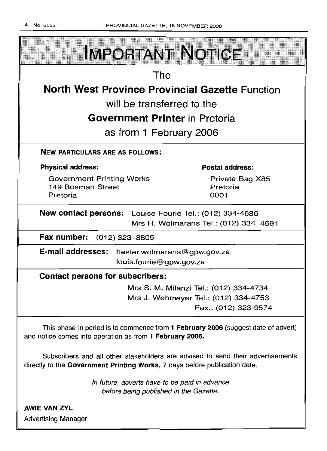

directly to the Government Printing Works, 7 days before publication date.

In future, adverts have to be paid in advance before being published in the Gazette.

AWIE VAN ZYL Advertising Manager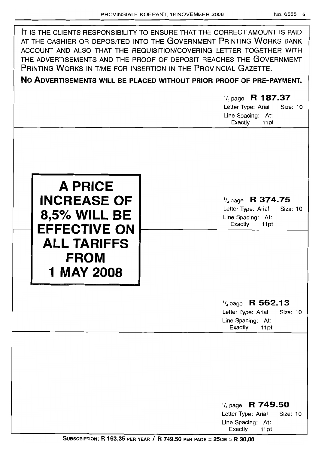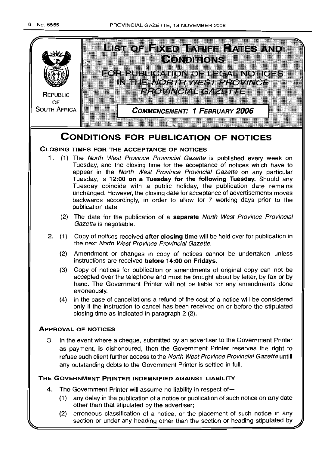

- other than that stipulated by the advertiser;
- (2) erroneous classification of a notice, or the placement of such notice in any section or under any heading other than the section or heading stipulated by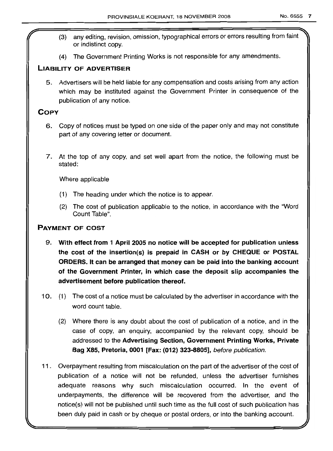- (3) any editing, revision, omission, typographical errors or errors resulting from faint or indistinct copy.
- (4) The Government Printing Works is not responsible for any amendments.

## **LIABILITY OF ADVERTISER**

5. Advertisers will be held liable for any compensation and costs arising from any action which may be instituted against the Government Printer in consequence of the publication of any notice.

## **COpy**

- 6. Copy of notices must be typed on one side of the paper only and may not constitute part of any covering letter or document.
- 7. At the top of any copy, and set well apart from the notice, the following must be stated:

Where applicable

- (1) The heading under which the notice is to appear.
- (2) The cost of publication applicable to the notice, in accordance with the "Word Count Table".

## **PAYMENT OF COST**

- 9. **With effect from 1 April 2005 no notice will be accepted for publication unless the cost of the insertion(s) is prepaid in CASH or by CHEQUE or POSTAL ORDERS. It can be arranged that money can be paid into the banking account of the Government Printer, in which case the deposit slip accompanies the advertisement before publication thereof.**
- 10. (1) The cost of a notice must be calculated by the advertiser in accordance with the word count table.
	- (2) Where there is any doubt about the cost of publication of a notice, and in the case of copy, an enquiry, accompanied by the relevant copy, should be addressed to the **Advertising Section, Government Printing Works, Private Bag X85, Pretoria, 0001 [Fax: (012) 323-8805],** before publication.
- **11** . Overpayment resulting from miscalculation on the part of the advertiser of the cost of publication of a notice will not be refunded, unless the advertiser furnishes adequate reasons why such miscalculation occurred. In the event of underpayments, the difference will be recovered from the advertiser, and the notice(s) will not be published until such time as the full cost of such publication has been duly paid in cash or by cheque or postal orders, or into the banking account.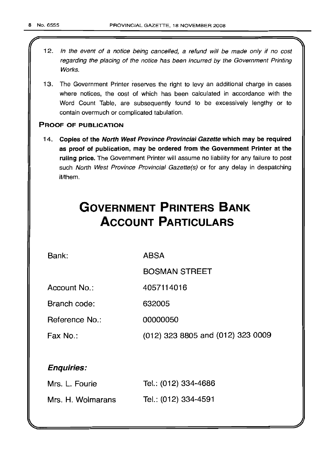- 12. In the event of a notice being cancelled, a refund will be made only if no cost regarding the placing of the notice has been incurred by the Government Printing Works.
- 13. The Government Printer reserves the right to levy an additional charge in cases where notices, the cost of which has been calculated in accordance with the Word Count Table, are subsequently found to be excessively lengthy or to contain overmuch or complicated tabulation.

## PROOF OF PUBLICATION

14. Copies of the North West Province Provincial Gazette which may be required as proof of publication, may be ordered from the Government Printer at the ruling price. The Government Printer will assume no liability for any failure to post such North West Province Provincial Gazette(s) or for any delay in despatching it/them.

# **GOVERNMENT PRINTERS BANK ACCOUNT PARTICULARS**

Bank:

ABSA

BOSMAN STREET

Account No.: 4057114016

Branch code: 632005

Reference No.: 00000050

Fax No.: (012) 323 8805 and (012) 323 0009

## Enquiries:

| Mrs. L. Fourie    | Tel.: (012) 334-4686 |
|-------------------|----------------------|
| Mrs. H. Wolmarans | Tel.: (012) 334-4591 |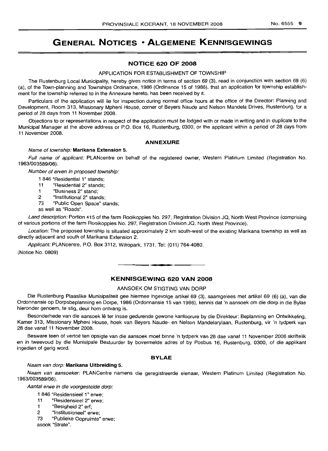## **GENERAL NOTICES • ALGEMENE KENNISGEWINGS**

## **NOTICE 620 OF 2008**

#### APPLICATION FOR ESTABLISHMENT OF TOWNSHIP

The Rustenburg Local Municipality, hereby gives notice in terms of section 69 (3), read in conjunction with section 69 (6) (a), of the Town-planning and Townships Ordinance, 1986 (Ordinance 15 of 1986), that an application for township establishment for the township referred to in the Annexure hereto, has been received by it.

Particulars of the application will lie for inspection during normal office hours at the office of the Director: Planning and Development, Room 313, Missionary Mpheni House, corner of Beyers Naude and Nelson Mandela Drives, Rustenburg, for a period of 28 days from 11 November 2008.

Objections to or representations in respect of the application must be lodged with or made in writing and in duplicate to the Municipal Manager at the above address or P.O. Box 16, Rustenburg, 0300, or the applicant within a period of 28 days from 11 November 2008.

#### **ANNEXURE**

## Name of township: **Marikana Extension** 5.

Full name of applicant: PLANcentre on behalf of the registered owner, Western Platinum Limited (Registration No. 1963/003589/06).

Number of erven in proposed township:

- 1 846 "Residential 1" stands;
- 11 "Residential 2" stands;
- 1 "Business 2" stand;
- 2 "Institutional 2" stands;
- 73 "Public Open Space" stands;

as well as "Roads".

Land description: Portion 415 of the farm Rooikoppies No. 297, Registration Division JQ, North West Province (comprising of various portions of the farm Rooikoppies No. 297, Registration Division JQ, North West Province).

Location: The proposed township is situated approximately 2 km south-west of the existing Marikana township as well as directly adjacent and south of Marikana Extension 2.

Applicant: PLANcentre, P.O. Box 3112, Wilropark, 1731. Tel: (011) 764-4080.

(Notice No. 0809)

## **KENNISGEWING 620 VAN 2008**

**-**

## AANSOEK OM STIGTING VAN DORP

Die Rustenburg Plaaslike Munisipaliteit gee hiermee ingevolge artikel 69 (3), saamgelees met artikel 69 (6) (a), van die Ordonnansie op Dorpsbeplanning en Dorpe, 1986 (Ordonnansie 15 van 1986), kennis dat 'n aansoek om die dorp in die Bylae hieronder genoem, te stig, deur hom ontvang is.

Besonderhede van die aansoek lê ter insae gedurende gewone kantoorure by die Direkteur: Beplanning en Ontwikkeling, Kamer 313, Missionary Mpheni House, hoek van Beyers Naude- en Nelson Mandelarylaan, Rustenburg, vir 'n tydperk van 28 dae vanaf 11 November 2008.

Besware teen of vertoë ten opsigte van die aansoek moet binne 'n tydperk van 28 dae vanaf 11 November 2008 skriftelik en in tweevoud by die Munisipale Bestuurder by bovermelde adres of by Posbus 16, Rustenburg, 0300, of die applikant ingedien of gerig word.

## **BYLAE**

#### Naam van dorp: **Marikana Uitbreiding** 5.

Naam van aansoeker: PLANCentre namens die geregistreerde eienaar, Western Platinum Limited (Registration No. 1963/003589/06).

Aantal erwe in die voorgestelde dorp:

- 1 846 "Residensieel 1" erwe;
- 11 "Residensieel 2" erwe;
- 1 "Besigheid 2" ert;
- 2 "Institusioneel" erwe;
- 73 "Publieke Oopruimte" erwe;

asook "Strate",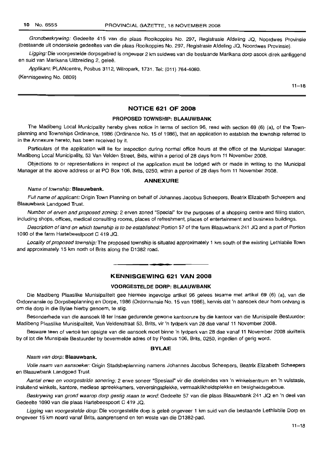Grondbeskrywing: Gedeelte 415 van die plaas Rooikoppies No. 297, Registrasie Afdeling JQ, Noordwes Provinsie (bestaande uit onderskeie gedeeltes van die plaas Rooikoppies No. 297, Registrasie Afdeling JQ, Noordwes Provinsie).

Ligging: Die voorgestelde dorpsgebied is ongeveer 2 km suidwes van die bestaande Marikana dorp asook direk aanliggend en suid van Marikana Uitbreiding 2, geleë.

Applikant: PLANcentre, Posbus 3112, Wilropark, 1731. Tel: (011) 764-4080. (Kennisgewing No. 0809)

 $11 - 18$ 

## **NOTICE 621 OF 2008**

## **PROPOSED TOWNSHIP: BLAAUWBANK**

The Madibeng Local Municipality hereby gives notice in terms of section 96, read with section 69 (6) (a), of the Townplanning and Townships Ordinance, 1986 (Ordinance No. 15 of 1986), that an application to establish the township referred to in the Annexure hereto, has been received by it.

Particulars of the application will lie for inspection during normal office hours at the office of the Municipal Manager: Madibeng Local Municipality, 53 Van Velden Street, Brits, within a period of 28 days from 11 November 2008.

Objections to or representations in respect of the application must be lodged with or made in writing to the Municipal Manager at the above address or at PO Box 106, Brits, 0250, within a period of 28 days from 11 November 2008.

## **ANNEXURE**

#### Name of township: **Blaauwbank.**

Full name of applicant: Origin Town Planning on behalf of Johannes Jacobus Scheepers, Beatrix Elizabeth Scheepers and Blaauwbank Landgoed Trust.

Number of erven and proposed zoning: 2 erven zoned "Special" for the purposes of a shopping centre and filling station, including shops, offices, medical consulting rooms, places of refreshment, places of entertainment and business buildings.

Description of land on which township is to be established: Portion 57 of the farm Blaauwbank 241 JQ and a part of Portion 1090 of the farm Hartebeestpoort C 419 JQ.

Locality of proposed township: The proposed township is situated approximately 1 km south of the existing Lethlabile Town and approximately. 15 km north of Brits along the 01382 road.

## **KENNISGEWING 621 VAN 2008**

**-.**

## **VOORGESTELDE DORP: BLAAUWBANK**

Die Madibeng Plaaslike Munisipaliteit gee hiermee ingevolge artikel 96 gelees tesame met artikel 69 (6) (a), van die Ordonnansie op Dorpsbeplanning en Dorpe, 1986 (Ordonnansie No. 15 van 1986), kennis dat 'n aansoek deur hom ontvang is om die dorp in die Bylae hierby genoem, te stig.

Besonderhede van die aansoek lê ter insae gedurende gewone kantoorure by die kantoor van die Munisipale Bestuurder: Madibeng Plaaslike Munisipaliteit, Van Veldenstraat 53, Brits, vir 'n tydperk van 28 dae vanaf 11 November 2008.

Besware teen of vertoë ten opsigte van die aansoek moet binne 'n tydperk van 28 dae vanaf 11 November 2008 skriftelik by of tot die Munsipale Bestuurder by bovermelde adres of by Posbus 106, Brits, 0250, ingedien of gerig word.

### **BYLAE**

#### Naam van dorp: **Blaauwbank.**

Volle naam van aansoeker: Origin Stadsbeplanning namens Johannes Jacobus Scheepers, Beatrix Elizabeth Scheepers en Blaauwbank Landgoed Trust.

Aantal erwe en voorgestelde sonering: 2 erwe soneer "Spesiaal" vir die doeleindes van 'n winkelsentrum en 'n vulstasie, insluitend winkels, kantore, mediese spreekkamers, verversingsplekke, vermaaklikheidsplekke en besigheidsgeboue.

Beskrywing van grond waarop dorp gestig staan te word: Gedeelte 57 van die plaas Blaauwbank 241 JQ en 'n deel van Gedeelte 1090 van die plaas Hartebeespoort C 419 JQ.

Ligging van voorgestelde dorp: Die voorgestelde dorp is geleë ongeveer 1 km suid van die bestaande Lethlabile Dorp en ongeveer 15 km noord vanaf Brits, aangrensend en ten weste van die D1382-pad.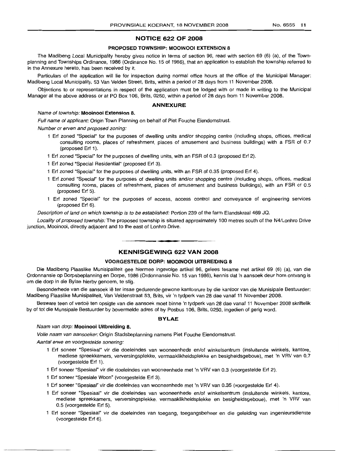## **NOTICE 622 OF 2008**

#### **PROPOSED TOWNSHIP: MOOINOOI EXTENSION** 8

The Madibeng Local Municipality hereby gives notice in terms of section 96, read with section 69 (6) (a), of the Townplanning and Townships Ordinance, 1986 (Ordinance No. 15 of 1986), that an application to establish the township referred to in the Annexure hereto, has been received by it.

Particulars of the application will lie for inspection during normal office hours at the office of the Municipal Manager: Madibeng Local Municipality, 53 Van Velden Street, Brits, within a period of 28 days from 11 November 2008.

Objections to or representations in respect of the application must be lodged with or made in writing to the Municipal Manager at the above address or at PO Box 106, Brits, 0250, within a period of 28 days from 11 November 2008.

#### **ANNEXURE**

## Name of township: **Mooinooi Extension 8.**

Full name of applicant: Origin Town Planning on behalf of Piet Fouche Eiendomstrust.

Number or erven and proposed zoning:

- 1 Erf zoned "Special" for the purposes of dwelling units and/or shopping centre (including shops, offices, medical consulting rooms, places of refreshment, places of amusement and business buildings) with a FSR of 0.7 (proposed Erf 1).
- 1 Erf zoned "Special" for the purposes of dwelling units, with an FSR of 0.3 (proposed Erf 2).
- 1 Erf zoned "Special Residential" (proposed Erf 3).
- 1 Erf zoned "Special" for the purposes of dwelling units, with an FSR of 0.35 (proposed Erf 4).
- 1 Erf zoned "Special" for the purposes of dwelling units and/or shopping centre (including shops, offices, medical consulting rooms, places of refreshment, places of amusement and business buildings), with an FSR of 0.5 (proposed Erf 5).
- Erf zoned "Special" for the purposes of access, access control and conveyance of engineering services (proposed Erf 6).

Description of land on which township is to be established: Portion 239 of the farm Elandskraal 469 JQ.

Locality of proposed township: The proposed township is situated approximately 100 metres south of the N4/Lonhro Drive junction, Mooinooi, directly adjacent and to the east of Lonhro Drive.

## **KENNISGEWING 622 VAN 2008**

**• •**

#### **VOORGESTELDE DORP: MOOINOOI UITBREIDING** 8

Die Madibeng Plaaslike Munisipaliteit gee hiermee ingevolge artikel 96, gelees tesame met artikel 69 (6) (a), van die Ordonnansie op Dorpsbeplanning en Dorpe, 1986 (Ordonnansie No. 15 van 1986), kennis dat 'n aansoek deur hom ontvang is om die dorp in die Bylae hierby genoem, te stig.

Besonderhede van die aansoek lê ter insae gedurende gewone kantoorure by die kantoor van die Munisipale Bestuurder: Madibeng Plaaslike Munisipaliteit, Van Veldenstraat 53, Brits, vir 'n tydperk van 28 dae vanaf 11 November 2008.

Besware teen of vertoe ten opsigte van die aansoek moet binne 'n tydperk van 28 dae vanaf 11 November 2008 skriftelik by of tot die Munsipale Bestuurder by bovermelde adres of by Posbus 106, Brits, 0250, ingedien of gerig word.

### **BYLAE**

#### Naam van dorp: **Mooinooi Uitbreiding 8.**

Volle naam van aansoeker: Origin Stadsbeplanning namens Piet Fouche Eiendomstrust.

Aantal erwe en voorgestelde sonering:

- 1 Erf soneer "Spesiaal" vir die doeleindes van wooneenhede en/of winkelsentrum (insluitende winkels, kantore, mediese spreekkamers, verversingsplekke, vermaaklikheidsplekke en besigheidsgeboue), met 'n VRV van 0.7 (voorgestelde Erf 1).
- 1 Erf soneer "Spesiaal" vir die doeleindes van wooneenhede met 'n VRV van 0.3 (voorgestelde Erf 2).
- 1 Erf soneer "Spesiale Woon" (voorgestelde Erf 3).
- 1 Erf soneer "Spesiaal" vir die doeleindes van wooneenhede met 'n VRV van 0.35 (voorgestelde Erf 4).
- 1 Erf soneer "Spesiaal" vir die doeleindes van wooneenhede en/of winkelsentrum (insluitende winkels, kantore, mediese spreekkamers, verversingsplekke, vermaaklikheidsplekke en besigheidsgeboue), met 'n VRV van 0.5 (voorgestelde Erf 5).
- Erf soneer "Spesiaal" vir die doeleindes van toegang, toegangsbeheer en die geleiding van ingenieursdienste (voorgestelde Erf 6).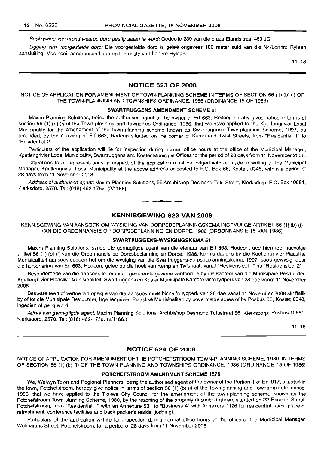Beskrywing van grond waarop dorp gestig staan te word: Gedeelte 239 van die plaas Elandskraal 469 JQ.

Ligging van voorgestelde dorp: Die voorgestelde dorp is geleë ongeveer 100 meter suid van die N4/Lonhro Rylaan aansluiting, Mooinooi, aangrensend aan en ten ooste van Lonhro Rylaan.

 $11 - 18$ 

## NOTICE 623 OF 2008

NOTICE OF APPLICATION FOR AMENDMENT OF TOWN-PLANNING SCHEME IN TERMS OF SECTION 56 (1) (b) (i) OF THE TOWN-PLANNING AND TOWNSHIPS ORDINANCE, 1986 (ORDINANCE 15 OF 1986)

#### SWARTRUGGENS AMENDMENT SCHEME 51

Maxim Planning Solutions, being the authorised agent of the owner of Erf 663, Rodeon hereby gives notice in terms of section 56 (1) (b) (i) of the Town-planning and Townships Ordinance, 1986, that we have applied to the Kgetlengrivier Local Municipality for the amendment of the town-planning scheme known as Swartruggens Town-planning Scheme, 1997, as amended, by the rezoning of Erf 663, Rodeon situated on the corner of Kemp and Twist Streets, from "Residential 1" to "Residential 2".

Particulars of the application will lie for inspection during normal office hours at the office of the Municipal Manager, Kgetlengrivier Local Municipality, Swartruggens and Koster Municipal Offices for the period of 28 days from 11 November 2008.

Objections to or representations in respect of the application must be lodged with or made in writing to the Municipal Manager, Kgetlengrivier Local Municipality at the above address or posted to P.O. Box 66, Koster, 0348, within a period of 28 days from 11 November 2008.

Address of authorised agent: Maxim Planning Solutions, 56 Archbishop Desmond Tutu Street, Klerksdorp; P.O. Box 10681, Klerksdorp, 2570. Tel: (018) 462-1756. (2/1166)

**1\_**

## KENNISGEWING 623 VAN 2008

KENNfSGEWING VAN AANSOEK OM WYSIGING VAN DORPSBEPLANNINGSKEMA INGEVOLGE ARTIKEL 56 (1) (b) (i) VAN DIE ORDONNANSIE OP DORPSBEPLANNING EN DORPE, 1986 (ORDONNANSIE 15 VAN 1986)

## SWARTRUGGENS-WYSIGINGSKEMA 51

Maxim Planning Solutions, synde die gemagtigde agent van die eienaar van Erf 663, Rodeon, gee hiermee ingevolge artikel 56 (1) (b) (i) van die Ordonnansie op Dorpsbeplanning en Dorpe, 1986, kennis dat ons by die Kgetlengrivier Plaaslike Munisipaliteit aansoek gedoen het om die wysiging van die Swartruggens-dorpsbeplanningskema, 1997, soos gewysig, deur die hersonering van Erf 663, Rodeon, geleë op die hoek van Kemp en Twistraat, vanaf "Residensieel 1" na "Residensieel 2".

Besonderhede van die aansoek lê ter insae gedurende gewone kantoorure by die kantoor van die Munisipale Bestuurder, Kgetlengrivier Plaaslike Munisipaliteit, Swartruggens en Koster Munisipale Kantore vir 'n tydperk van 28 dae vanaf 11 November 2008.

Besware teen of vertoë ten opsigte van die aansoek moet binne 'n tydperk van 28 dae vanaf 11 November 2008 skriftelik by of tot die Munisipale Bestuurder, Kgetlengrivier Plaaslike Munisipaliteit by bovermelde adres of by Posbus 66, Koster, 0348, ingedien of gerig word.

Adres van gemagtigde agent: Maxim Planning Solutions, Archbishop Desmond Tutustraat 56, Klerksdorp; Posbus 10681, Klerksdorp, 2570. Tel: (018) 462-1756. (2/1166.)

 $11 - 18$ 

## NOTICE 624 OF 2008

NOTICE OF APPLICATION FOR AMENDMENT OF THE POTCHEFSTROOM TOWN-PLANNING SCHEME, 1980, IN TERMS OF SECTION 56 (1) (b) (i) OF THE TOWN-PLANNING AND TOWNSHIPS ORDINANCE, 1986 (ORDINANCE 15 OF 1986)

## POTCHEFSTROOM AMENDMENT SCHEME 1576

We, Welwyn Town and Regional Planners, being the authorised agent of the owner of the Portion 1 of Erf 917, situated in the town, Potchefstroom, hereby give notice in terms of section 56 (1) (b) (i) of the Town-planning and Townships Ordinance, 1986, that we have applied to the Tlokwe City Council for the amendment of the town-planning scheme known as the Potchefstroom Town-planning Scheme, 1980, by the rezoning of the property described above, situated on 22 Esselen Street, Potchefstroom, from "Residential 1" with an Annexure 531 to "Business 4" with Annexure 1126 for residential uses, place of refreshment, conference facilities and back packer's reside (lodging).

Particulars of the application will lie for inspection during normal office hours at the office of the Municipal Manager, Wolmarans Street, Potchefstroom, for a period of 28 days from 11 November 2008.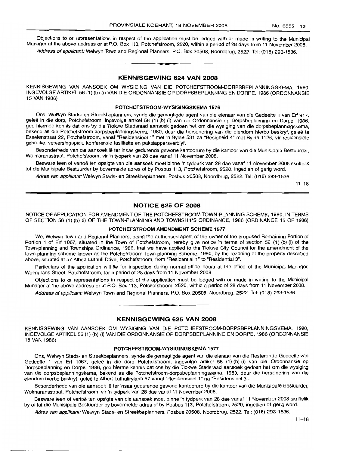Objections to or representations in respect of the application must be lodged with or made in writing to the Municipal Manager at the above address or at P.O. Box 113, Potchefstroom, 2520, within a period of 28 days from 11 November 2008. Address of applicant: Welwyn Town and Regional Planners, P.O. Box 20508, Noordbrug, 2522. Tel: (018) 293-1536.

## KENNISGEWING 624 VAN 2008

**• •**

KENNISGEWING VAN AANSOEK OM WYSIGING VAN DIE POTCHEFSTROOM-DORPSBEPLANNINGSKEMA, 1980, INGEVOLGE ARTIKEL 56 (1) (b) (i) VAN DIE ORDONNANSIE OP DORPSBEPLANNING EN DORPE, 1986 (ORDONNANSIE 15 VAN 1986)

## POTCHEFSTROOM-WYSIGINGSKEMA 1576

Ons, Welwyn Stads- en Streekbeplanners, synde die gemagtigde agent van die eienaar van die Gedeelte 1 van Erf 917, geleë in die dorp, Potchefstroom, ingevolge artikel 56 (1) (b) (i) van die Ordonnansie op Dorpsbeplanning en Dorpe, 1986, gee hiermee kennis dat ons by die Tlokwe Stadsraad aansoek gedoen het om die wysiging van die dorpsbeplanningskema, bekend as die Potchefstroom-dorpsbeplanningskema, 1980, deur die hersonering van die eiendom hierbo beskryf, geleë te Esselenstraat 22, Potchefstroom, vanaf "Residensieel 1" met 'n Bylae 531 na "Besigheid 4" met Bylae 1126, vir residensiele gebruike, verversingsplek, konferensie fasiliteite en pakstappersverblyf.

Besonderhede van die aansoek lê ter insae gedurende gewone kantoorure by die kantoor van die Munisipale Bestuurder, Wolmaransstraat, Potchefstroom, vir 'n tydperk van 28 dae vanaf 11 November 2008.

Besware teen of vertoe ten opsigte van die aansoek moet binne 'n tydperk van 28 dae vanaf 11 November 2008 skriftelik tot die Munisipale Bestuurder by bovermelde adres of by Posbus 113, Potchefstroom, 2520, ingedien of gerig word.

Adres van applikant: Welwyn Stads- en Streekbeplanners, Posbus 20508, Noordbrug, 2522. Tel: (018) 293-1536.

 $11 - 18$ 

## NOTICE 625 OF 2008

NOTICE OF APPLICATION FOR AMENDMENT OF THE POTCHEFSTROOM TOWN-PLANNING SCHEME, 1980, IN TERMS OF SECTION 56 (1) (b) (i) OF THE TOWN-PLANNING AND TOWNSHIPS ORDINANCE, 1986 (ORDINANCE 15 OF 1986)

## POTCHEFSTROOM AMENDMENT SCHEME 1577

We, Welwyn Town and Regional Planners, being the authorised agent of the owner of the proposed Remaining Portion of Portion 1 of Erf 1067, situated in the Town of Potchefstroom, hereby give notice in terms of section 56 (1) (b) (i) of the Town-planninq and Townships Ordinance, 1986, that we have applied to the Tlokwe City Council for the amendment of the town-planning scheme known as the Potchefstroom Town-planning Scheme, 1980, by the rezoning of the property described above, situated at 57 Albert Luthuli Drive, Potchefstroom, from "Residential 1" to "Residential 3".

Particulars of the application will lie for inspection during normal office hours at the office of the Municipal Manager, Wolmarans Street, Potchefstroom, for a period of 28 days from 11 November 2008.

Objections to or representations in respect of the application must be lodged with or made in writing to the Municipal Manager at the above address or at P.O. Box 113, Potchefstroom, 2520, within a period of 28 days from 11 November 2008.

Address of applicant: Welwyn Town and Regional Planners, P.O. Box 20508, Noordbrug, 2522. Tel: (018) 293-1536.

## KENNISGEWING 625 VAN 2008

**•**

KENNIISGEWING VAN AANSOEK OM WYSIGING VAN DIE POTCHEFSTROOM-DORPSBEPLANNINGSKEMA, 1980, INGEVOLGE ARTIKEL 56 (1) (b) (i) VAN DIE ORDONNANSIE OP DORPSBEPLANNING EN DORPE, 1986 (ORDONNANSIE 15 VAN 1986)

## POTCHEFSTROOM-WYSIGINGSKEMA 1577

Ons, Welwyn Stads- en Streekbeplanners, synde die gemagtigde agent van die eienaar van die Resterende Gedeelte van Gedeelte 1 van Erf 1067, geleë in die dorp Potchefstroom, ingevolge artikel 56 (1) (b) (i) van die Ordonnansie op Dorpsbeplanning en Dorpe, 1986, gee hierme kennis dat ons by die Tlokwe Stadsraad aansoek gedoen het om die wysiging van die dorpsbeplanningskema, bekend as die Potchefstroom-dorpsbeplanningskema, 1980, deur die hersonering van die eiendom hierbo beskryf, geleë te Albert Luthulirylaan 57 vanaf "Residensieel 1" na "Residensieel 3".

Besonderhede van die aansoek Ie ter insae gedurende gewone kantoorure by die kantoor van die Munisipale Bestuurder, Wolmaransstraat, Potchefstroom, vir 'n tydperk van 28 dae vanaf 11 November 2008.

Besware teen of vertoë ten opsigte van die aansoek moet binne 'n tydperk van 28 dae vanaf 11 November 2008 skriftelik by of tot die Munisipale Bestuurder by bovermelde adres of by Posbus 113, Potchefstroom, 2520, ingedien of gerig word.

Adres van applikant: Welwyn Stads- en Streekbeplanners, Posbus 20508, Noordbrug, 2522. Tel: (018) 293-1536.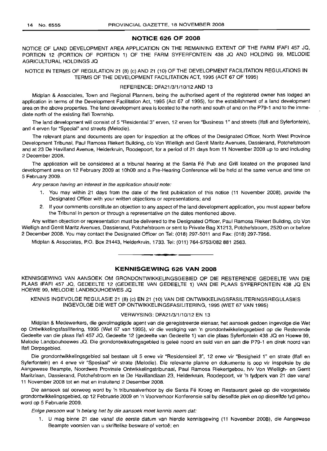## **NOTICE 626 OF 2008**

NOTICE OF LAND DEVELOPMENT AREA APPLICATION ON THE REMAINING EXTENT OF THE FARM IFAFI 457 JQ, PORTION 12 (PORTION OF PORTION 1) OF THE FARM SYFERFONTEIN 438 JQ AND HOLDING 99, MELODIE AGRICULTURAL HOLDINGS JQ

NOTICE IN TERMS OF REGULATION 21 (8) (c) AND 21 (10) OF THE DEVELOPMENT FACILITATION REGULATIONS IN TERMS OF THE DEVELOPMENT FACILITATION ACT, 1995 (ACT 67 OF 1995)

#### REFERENCE: DFA21/3/1/10/12 AND 13

Midplan & Associates, Town and Regional Planners, being the authorised agent of the registered owner has lodged an application in terms of the Development Facilitation Act, 1995 (Act 67 of 1995), for the establishment of a land development area on the above properties. The land development area is located to the north and south of and on the P79-1 and to the immediate north of the existing Ifafi Township.

The land development will consist of 5 "Residential 3" erven, 12 erven for "Business 1" and streets (Ifafi and Syferfontein), and 4 erven for "Special" and streets (Melodie).

The relevant plans and documents are open for inspection at the offices of the Designated Officer, North West Province Development Tribunal, Paul Ramosa Riekert Building, c/o Von Wielligh and Gerrit Maritz Avenues, Dassierand, Potchefstroom and at 23 De Havilland Avenue, Helderkruin, Roodepoort, for a period of 21 days from 11 November 2008 up to and including 2 December 2008.

The application will be considered at a tribunal hearing at the Santa Fé Pub and Grill located on the proposed land development area on 12 February 2009 at 10hOO and a Pre-Hearing Conference will be held at the same venue and time on 5 February 2009.

Any person having an interest in the application should note:

- 1. You may within 21 days from the date of the first publication of this notice (11 November 2008), provide the Designated Officer with your written objections or representations; and
- 2. If your comments constitute an objection to any aspect of the land development application, you must appear before the Tribunal in person or through a representative on the dates mentioned above.

Any written objection or representation must be delivered to the Designated Officer, Paul Ramosa Riekert Building, c/o Von Wielligh and Gerrit Maritz Avenues, Dassierand, Potchefstroom or sent to Private Bag X1213, Potchefstroom, 2520 on or before 2 December 2008. You may contact the Designated Officer on Tel: (018) 297-5011 and Fax: (018) 297-7956.

Midplan & Associates, P.O. Box 21443, Helderkruin, 1733. Tel: (011) 764-5753/082 881 2563. **.-**

## **KENNISGEWING 626 VAN 2008**

KENNISGEWING VAN AANSOEK OM GRONDONTWIKKELINGSGEBIED OP DIE RESTERENDE GEDEELTE VAN DIE PLAAS IFAFI 457 JQ, GEDEELTE 12 (GEDEELTE VAN GEDEELTE 1) VAN DIE PLAAS SYFERFONTEIN 438 JQ EN HOEWE 99, MELODIE LANDBOUHOEWES JQ

KENNIS INGEVOLGE REGULASIE 21 (8) (c) EN 21 (10) VAN DIE ONTWIKKELlNGSFASILITERINGSREGULASIES INGEVOLGE DIE WET OP ONTWIKKELlNGSFASILITERING, 1995 (WET 67 VAN 1995)

## VERWYSING: DFA21/3/1/10/12 EN 13

Midplan & Medewerkers, die gevolmagtigde agent van die geregistreerde eienaar, het aansoek gedoen ingevolge die Wet op Ontwikkelingsfasilitering, 1995 (Wet 67 van 1995), vir die vestiging van 'n grondontwikkelingsgebied op die Resterende Gedeelte van die plaas Ifafi 457 JQ, Gedeelte 12 (gedeelte van Gedeelte 1) van die plaas Syferfontein 438 JQ en Hoewe 99, Melodie Landbouhoewes JQ. Die grondontwikkelingsgebied is geleë noord en suid van en aan die P79-1 en direk noord van Ifafi Dorpsgebied.

Die grondontwikkelingsgebied sal bestaan uit 5 erwe vir "Residensieel 3", 12 erwe vir "Besigheid 1" en strate (Ifafi en Syferfontein) en 4 erwe vir "Spesiaal" vir strate (Melodie). Die relevante planne en dokumente is oop vir inspeksie by die Aangewese Beampte, Noordwes Provinsie Ontwikkelingstribunaal, Paul Ramosa Riekertgebou, h/v Von Wielligh- en Gerrit Maritzlaan, Dassierand, Potchefstroom en te De Havillandlaan 23, Helderkruin, Roodepoort, vir 'n tydperk van 21 dae vanaf 11 November 2008 tot en met en insluitend 2 Desember 2008.

Die aansoek sal oorweeg word by 'n tribunaalverhoor by die Santa Fé Kroeg en Restaurant geleë op die voorgestelde grondontwikkelingsgebied, op 12 Februarie 2009 en 'n Voorverhoor Konferensie sal by dieselfde plek en op dieselfde tyd gehou word op 5 Februarie 2009.

Enige persoon wat 'n belang het by die aansoek moet kennis neem dat:

1. U mag binne 21 dae vanaf die eerste datum van hierdie kennisgewing (11 November 2008), die Aangewese Beampte voorsien van u skriftelike besware of vertoë; en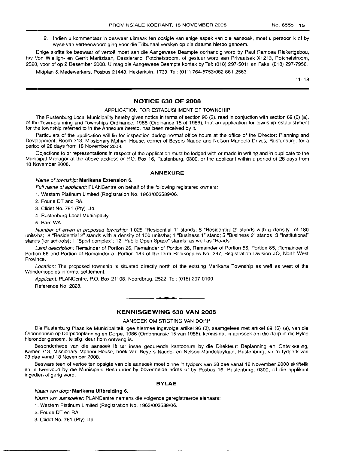2. Indien u kommentaar 'n beswaar uitmaak ten opsigte van enige aspek van die aansoek, moet u persoonlik of by wyse van verteenwoordiging voor die Tribunaal verskyn op die datums hierbo genoem.

Enige skriftelike beswaar of vertoë moet aan die Aangewese Beampte oorhandig word by Paul Ramosa Riekertgebou, h/v Von Wielligh- en Gerrit Maritzlaan, Dassierand, Potchefstroom, of gestuur word aan Privaatsak X1213, Potchefstroom, 2520, voor of op 2 Desember 2008. U mag die Aangewese Beampte kontak by Tel: (018) 297-5011 en Faks: (018) 297-7956.

Midplan & Medewerkers, Posbus 21443, Helderkuin, 1733. Tel: (011) 764-5753/082 881 2563.

 $11 - 18$ 

## **NOTICE 630 OF 2008**

#### APPLICATION FOR ESTABLISHMENT OF TOWNSHIP

The Rustenburg Local Municipality hereby gives notice in terms of section 96 (3), read in conjuction with section 69 (6) (a), of the Town-planning and Townships Ordinance, 1986 (Ordinance 15 of 1986), that an application for township establishment for the township referred to in the Annexure hereto, has been received by it.

Particulars of the application will lie for inspection during normal office hours at the office of the Director: Planning and Development, Room 313, Missionary Mpheni House, corner of Beyers Naude and Nelson Mandela Drives, Rustenburg, for a period of 28 days from 18 November 2008.

Objections to or representations in respect of the application must be lodged with or made in writing and in duplicate to the Municipal Manager at the above address or P.O. Box 16, Rustenburg, 0300, or the applicant within a period of 28 days from 18 November 2008.

#### **ANNEXURE**

#### Name of township: **Marikana Extension** 6.

Full name of applicant: PLANCentre on behalf of the following registered owners:

1. Western Platinum Limited (Registration No. 1963/003589/06.

z. Fourie DT and RA.

3. Clidet No. 781 (Pty) Ltd.

4. Rustenburg Local Municipality.

s, Bam WA.

Number of erven in proposed township: 1 025 "Residential 1" stands; 5 "Residential 2" stands with a density of 180 units/ha; 8 "Residential 2" stands with a density of 100 units/ha; 1 "Business 1" stand; 5 "Business 2" stands; 3 "Institutional" stands (for schools); 1 "Sport complex"; 12 "Public Open Space" stands; as well as "Roads".

Land description: Remainder of Portion 26, Remainder of Portion 28, Remainder of Portion 55, Portion 85, Remainder of Portion 86 and Portion of Remainder of Portion 184 of the farm Rooikoppies No. 297, Registration Division JQ, North West Province.

Location: The proposed township is situated directly north of the existing Marikana Township as well as west of the Wonderkoppies informal settlement.

Applicant: PLANCentre, P.O. Box 21108, Noordbrug, 2522. Tel: (018) 297-0100.

Reference No. 2828.

## **KENNISGEWING 630 VAN 2008**

**• •**

## AANSOEK OM STIGTING VAN DORP

Die Rustenburg Plaaslike Munisipaliteit, gee hiermee ingevolge artikel 96 (3), saamgelees met artikel 69 (6) (a), van die Ordonnansie op Dorpsbeplanning en Dorpe, 1986 (Ordonnansie 15 van 1986), kennis dat 'n aansoek om die dorp in die Bylae hieronder genoem, te stig, deur hom ontvang is.

Besonderhede van die aansoek lê ter insae gedurende kantoorure by die Direkteur: Beplanning en Ontwikkeling, Karner 313, Missionary Mpheni House, hoek van Beyers Naude- en Nelson Mandelarylaan, Rustenburg, vir 'n tydperk van 28 dae vanaf 18 November 2008.

Besware teen of vertoe ten opsigte van die aansoek moet binne 'n tydperk van 28 dae vanaf 18 November 2008 skriftelik en in tweevoud by die Munisipale Bestuurder by bovermelde adres of by Posbus 16, Rustenburg, 0300, of die applikant ingedien of gerig word.

## **BYLAE**

## Naam van dorp: **Marikana Uitbreiding** 6.

Naam van aansoeker: PLANCentre namens die volgende geregistreerde eienaars:

1. Western Platinum Limited (Registration No. 1963/003589/06.

2. Fourie DT en RA.

3. Clidet No. 781 (Pty) Ltd.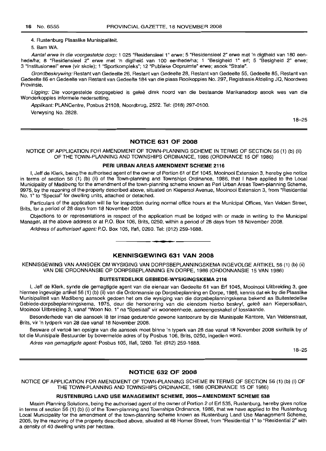4. Rustenburg Plaaslike Munisipaliteit.

5. Bam WA.

Aantal erwe in die voorgestelde dorp: 1 025 "Residensieel 1" erwe; 5 "Residensieel 2" erwe met 'n digtheid van 180 eenhede/ha; 8 "Residensieel 2" erwe met 'n digtheid van 100 eenhede/ha; 1 "Besigheid 1" erf; 5 "Besigheid 2" erwe; 3 "Institusioneel" erwe (vir skole); 1 "Sportkompleks"; 12 "Publieke Oopruimte" erwe; asook "Strate".

Grondbeskrywing: Restant van Gedeelte 26, Restant van Gedeelte 28, Restant van Gedeelte 55, Gedeelte 85, Restant van Gedeelte 86 en Gedeelte van Restant van Gedeelte 184 van die plaas Rooikoppies No. 297, Registrasie Afdeling JQ, Noordwes Provinsie.

Ligging: Die voorgestelde dorpsgebied is geleë direk noord van die bestaande Marikanadorp asook wes van die Wonderkoppies informele nedersetting.

Appfikant: PLANCentre, Posbus 21108, Noordbrug, 2522. Tel: (018) 297-0100.

Verwysing No. 2828.

18-25

## NOTICE 631 OF 2008

NOTICE OF APPLICATION FOR AMENDMENT OF TOWN-PLANNING SCHEME IN TERMS OF SECTION 56 (1) (b) (ii) OF THE TOWN-PLANNING AND TOWNSHIPS ORDINANCE, 1986 (ORDINANCE 15 OF 1986)

## PERI URBAN AREAS AMENDMENT SCHEME 2116

I, Jeff de Klerk, being the authorised agent of the owner of Portion 61 of Erf 1045, Mooinooi Extension 3, hereby give notice in terms of section 56 (1) (b) (ii) of the Town-planning and Townships Ordinance, 1986, that I have applied to the Local Municipality of Madibeng for the amendment of the town-planning scheme known as Peri Urban Areas Town-planning Scheme, 9975, by the rezoning of the property described above, situated on Kiepersol Avenue, Mooinooi Extension 3, from "Residential No.1" to "Special" for dwelling units, attached or detached.

Particulars of the application will lie for inspection during normal office hours at the Municipal Offices, Van Velden Street, Brits, for a period of 28 days from 18 November 2008.

Objections to or representations in respect of the application must be lodged with or made in writing to the Municipal Manager, at the above address or at P.O. Box 106, Brits, 0250, within a period of 28 days from 18 November 2008.

Address of authorised agent: P.O. Box 105, Ifafi, 0260. Tel: (012) 259-1688. **-**

## KENNISGEWING 631 VAN 2008

KENNISGEWING VAN AANSOEK OM WYSIGING VAN DORPSBEPLANNINGSKEMA INGEVOLGE ARTIKEL 56 (1) (b) (ii) VAN DIE ORDONNANSIE OP DORPSBEPLANNING EN DORPE, 1986 (ORDONNANSIE 15 VAN 1986)

## BUITESTEDELIKE GEBIEDE-WYSIGINGSKEMA 2116

I, Jeff de Klerk, synde die gemagtigde agent van die eienaar van Gedeelte 61 van Erf 1045, Mooinooi Uitbreiding 3, gee hiermee ingevolge artikel 56 (1) (b) (ii) van die Ordonnansie op Dorpsbeplanning en Dorpe, 1986, kennis dat ek by die Plaaslike Munisipaliteit van Madibeng aansoek gedoen het om die wysiging van die dorpsbeplanningskema bekend as Buitestedelike Gebiede-dorpsbeplanningskema, 1975, deur die hersonering van die eiendom hierbo beskryf, gelee aan Kiepersollaan, Mooinooi Uitbreiding 3, vanaf "Woon NO.1" na "Spesiaal" vir wooneenhede, aaneengeskakel of losstaande.

Besonderhede van die aansoek Ie ter insae gedurende gewone kantoorure by die Munisipale Kantore, Van Veldenstraat, Brits, vir 'n tydperk van 28 dae vanaf 18 November 2008.

Besware of vertoë ten opsigte van die aansoek moet binne 'n typerk van 28 dae vanaf 18 November 2008 skriftelik by of tot die Munisipale Bestuurder by bovermelde adres of by Posbus 106, Brits, 0250, ingedien word.

Adres van gemagtigde agent: Posbus 105, Ifafi, 0260. Tel: (012) 259-1688.

18-25

## NOTICE 632 OF 2008

NOTICE OF APPLICATION FOR AMENDMENT OF TOWN-PLANNING SCHEME IN TERMS OF SECTION 56 (1) (b) (i) OF THE TOWN-PLANNING AND TOWNSHIPS ORDINANCE, 1986 (ORDINANCE 15 OF 1986)

## RUSTENBURG LAND USE MANAGEMENT SCHEME, 2005-AMENDMENT SCHEME 538

Maxim Planning Solutions, being the authorised agent of the owner of Portion 2 of Erf 535, Rustenburg, hereby gives notice in terms of section 56 (1) (b) (i) of the Town-planning and Townships Ordinance, 1986, that we have applied to the Rustenburg Local Municipality for the amendment of the town-planning scheme known as Rustenburg Land Use Management Scheme, 2005, by the rezoning of the property described above, situated at 48 Homer Street, from "Residential 1" to "Residential 2" with a density of 40 dwelling units per hectare.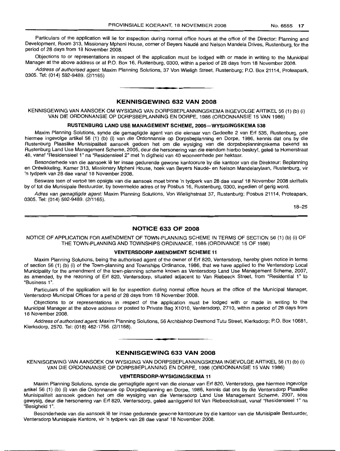Particulars of the application will lie for inspection during normal office hours at the office of the Director: Planning and Development, Room 313, Missionary Mpheni House, corner of Beyers Naude and Nelson Mandela Drives, Rustenburg, for the period of 28 days from 18 November 2008.

Objections to or representations in respect of the application must be lodged with or made in writing to the Municipal Manager at the above address or at P.O. Box 16, Rustenburg, 0300, within a period of 28 days from 18 November 2008.

Address of authorised agent: Maxim Planning Solutions, 37 Von Wieligh Street, Rustenburg; P.O. Box 21114, Proteapark, 0305. Tel: (014) 592-9489. (2/1165) .**-.**

## **KENNISGEWING 632 VAN 2008**

KENNISGEWING VAN AANSOEK OM WYSIGING VAN DORPSBEPLANNINGSKEMA INGEVOLGE ARTIKEL 56 (1) (b) (i) VAN DIE ORDONNANSIE OP DORPSBEPLANNING EN DORPE, 1986 (ORDONNANSIE 15 VAN 1986)

## **RUSTENBURG LAND USE MANAGEMENT SCHEME, 2005-WYSIGINGSKEMA 538**

Maxim Planning Solutions, synde die gemagtigde agent van die eienaar van Gedeelte 2 van Erf 535, Rustenburg, gee hiermee ingevolge artikel 56 (1) (b) (i) van die Ordonnansie op Dorpsbeplanning en Dorpe, 1986, kennis dat ons by die Rustenburg Plaaslike Munisipaliteit aansoek gedoen het om die wysiging van die dorpsbeplanningskema bekend as Rustenburg Land Use Management Scheme, 2005, deur die hersonering van die eiendom hierbo beskryf, gelee te Homerstraat 48, vanaf "Residensieel 1" na "Residensieel 2" met 'n digtheid van 40 wooneenhede per hektaar.

Besonderhede van die aansoek lê ter insae gedurende gewone kantoorure by die kantoor van die Direkteur: Beplanning en Ontwikkeling, Kamer 313, Missionary Mpheni House, hoek van Beyers Naude- en Nelson Mandelarylaan, Rustenburg, vir 'n tydperk van 28 dae vanaf 18 November 2008.

Besware teen of vertoë ten opsigte van die aansoek moet binne 'n tydperk van 28 dae vanaf 18 November 2008 skriftelik by of tot die Munisipale Bestuurder, by bovermelde adres of by Posbus 16, Rustenburg, 0300, ingedien of gerig word.

Adres van gemagtigde agent: Maxim Planning Solutions, Von Wielighstraat 37, Rustenburg; Posbus 21114, Proteapark, 0305. Tel: (014) 592-9489. (2/1165).

18-25

#### **NOTICE 633 OF 2008**

NOTICE OF APPLICATION FOR AMENDMENT OF TOWN-PLANNING SCHEME IN TERMS OF SECTION 56 (1) (b) (i) OF THE TOWN-PLANNING AND TOWNSHIPS ORDINANCE, 1986 (ORDINANCE 15 OF 1986)

## **VENTERSDORP AMENDMENT SCHEME 11**

Maxim Planning Solutions, being the authorised agent of the owner of Erf 820, Ventersdorp, hereby gives notice in terms of section 56 (1) (b) (i) of the Town-planning and Townships Ordinance, 1986, that we have applied to the Ventersdorp Local Municipality for the amendment of the town-planning scheme known as Ventersdorp Land Use Management Scheme, 2007, as amended, by the rezoning of Erf 820, Ventersdorp, situated adjacent to Van Riebeeck Street, from "Residential 1" to "Business 1".

Particulars of the application will lie for inspection during normal office hours at the office of the Municipal Manager, Ventersdorp Municipal Offices for a perid of 28 days from 18 November 2008.

Objections to or representations in respect of the application must be lodged with or made in writing to the Municipal Manager at the above address or posted to Private Bag X1010, Ventersdorp, 2710, within a period of 28 days from 18 November 2008.

Address of authorised agent: Maxim Planning Solutions, 56 Archbishop Desmond Tutu Street, Klerksdorp; P.O. Box 10681, Klerksdorp, 2570. Tel: (018) 462-1756. (2/1168).

## **KENNISGEWING 633 VAN 2008**

**•**

KENNISGEWING VAN AANSOEK OM WYSIGING VAN DORPSBEPLANNINGSKEMA INGEVOLGE ARTIKEL 56 (1) (b) (i) VAN DIE ORDONNANSIE OP DORPSBEPLANNING EN DORPE, 1986 (ORDONNANSIE 15 VAN 1986)

## **VENTERSDORP-WYSIGINGSKEMA 11**

Maxim Planning Solutions, synde die gemagtigde agent van die eienaar van Erf 820, Ventersdorp, gee hiermee ingevolge artikel 56 (1) (b) (i) van die Ordonnansie op Dorpsbeplanning en Dorpe, 1986, kennis dat ons by die Ventersdorp Plaaslike Munisipaliteit aansoek gedoen het om die wysiging van die Ventersdorp Land Use Management Scheme, 2007, soos gewysig, deur die hersonering van Erf 820, Ventersdorp, gelee aanliggend tot Van Riebeeckstraat, vanaf "Residensieel 1" na "Besigheid 1".

Besonderhede van die aansoek lê ter insae gedurende gewone kantoorure by die kantoor van die Munisipale Bestuurder, Ventersdorp Munisipale Kantore, vir 'n tydperk van 28 dae vanaf 18 November 2008.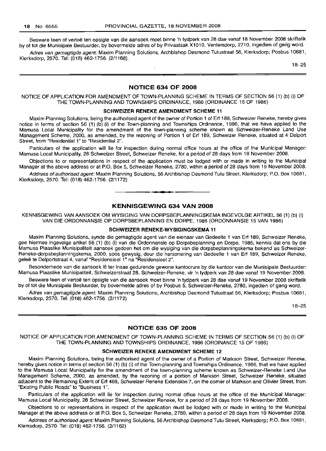Besware teen of vertoë ten opsigte van die aansoek moet binne 'n tydperk van 28 dae vanaf 18 November 2008 skriftelik by of tot die Munisipale Bestuurder, by bovermelde adres of by Privaatsak X1010, Ventersdorp, 2710, ingedien of gerig word.

Adres van gemagtigde agent: Maxim Planning Solutions, Archbishop Desmond Tutustraat 56, Klerksdorp; Posbus 10681, Klerksdorp, 2570. Tel: (018) 462-1756. (2/1168).

18-25

## **NOTICE 634 OF 2008**

NOTICE OF APPLICATION FOR AMENDMENT OF TOWN-PLANNING SCHEME IN TERMS OF SECTION 56 (1) (b) (i) OF THE TOWN-PLANNING AND TOWNSHIPS ORDINANCE, 1986 (ORDINANCE 15 OF 1986)

#### **SCHWEIZER RENEKE AMENDMENT SCHEME 11**

Maxim Planning Solutions, being the authorised agent of the owner of Portion 1 of Erf 189, Schweizer Reneke, hereby gives notice in terms of section 56 (1) (b) (i) of the Town-planning and Townships Ordinance, 1986, that we have applied to the Mamusa Local Municipality for the amendment of the town-planning scheme known as Schweizer-Reneke Land Use Management Scheme, 2000, as amended, by the rezoning of Portion 1 of Erf 189, Schweizer Reneke, situated at 4 Delport Street, from "Residential 1" to "Residential 2".

Particulars of the application will lie for inspection during normal office hours at the office of the Municipal Manager: Mamusa Local Municipality, 28 Schweizer Street, Schweizer Reneke, for a period of 28 days from 19 November 2008.

Objections to or representations in respect of the application must be lodged with or made in writing to the Municipal Manager at the above address or at P.O. Box 5, Schweizer Reneke, 2780, within a period of 28 days from 19 November 2008.

Address of authorised agent: Maxim Planning Solutions, 56 Archbishop Desmond Tutu Street, Klerksdorp; P.O. Box 10681, Klerksdorp, 2570. Tel: (018) 462-1756. (2/1172)

## **KENNISGEWING 634 VAN 2008**

**• •**

KENNISGEWING VAN AANSOEK OM WYSIGING VAN DORPSBEPLANNINGSKEMA INGEVOLGE ARTIKEL 56 (1) (b) (i) VAN DIE ORDONNANSIE OP DORPSBEPLANNING EN DORPE, 1986 (ORDONNANSIE 15 VAN 1986)

#### **SCHWEIZER RENEKE-WVSIGINGSKEMA 11**

Maxim Planning Solutions, synde die gemagtigde agent van die eienaar van Gedeelte 1 van Erf 189, Schweizer Reneke, gee hiermee ingevolge artikel 56 (1) (b) (i) van die Ordonnansie op Dorpsbeplanning en Dorpe, 1986, kennis dat ons by die Mamusa Plaaslike Munisipaliteit aansoek gedoen het om die wysiging van die dorpsbeplanningskema bekend as Schweizer-Reneke-dorpsbeplanningskema, 2000, soos gewysig, deur die hersonering van Gedeelte 1 van Erf 189, Schweizer Reneke, gelee te Delportstraat 4, vanaf "Residensieel 1" na "Residensieel 2".

Besonderhede van die aansoek lê ter insae gedurende gewone kantoorure by die kantoor van die Munisipale Bestuurder: Mamusa Plaaslike Munisipaliteit, Schweizerstraat 28, Schweizer-Reneke, vir 'n tydperk van 28 dae vanaf 19 November 2008.

Besware teen of vertoe ten opsigte van die aansoek moet binne 'n tydperk van 28 dae vanaf 19 November 2008 skriftelik by of tot die Munisipale Bestuurder, by bovermelde adres of by Posbus 5, Schweizer-Reneke, 2780, ingedien of gerig word.

Adres van gemagtigde agent: Maxim Planning Solutions, Archbishop Desmond Tutustraat 56, Klerksdorp; Posbus 10681, Klerksdorp, 2570. Tel: (018) 462-1756. (2/1172)

18-25

## **NOTICE 635 OF 2008**

NOTICE OF APPLICATION FOR AMENDMENT OF TOWN-PLANNING SCHEME IN TERMS OF SECTION 56 (1) (b) (i) OF THE TOWN-PLANNING AND TOWNSHIPS ORDINANCE, 1986 (ORDINANCE 15 OF 1986)

## **SCHWEIZER RENEKE AMENDMENT SCHEME 12**

Maxim Planning Solutions, being the authorised agent of the owner of a Portion of Markson Street, Schweizer Reneke, hereby gives notice in terms of section 56 (1) (b) (i) of the Town-planning and Townships Ordinance, 1986, that we have applied to the Mamusa Local Municipality for the amendment of the town-planning scheme known as Schweizer-Reneke Land Use Management Scheme, 2000, as amended, by the rezoning of a portion of Markson Street, Schweizer Reneke, situated adjacent to the Remaining Extent of Erf 468, Schweizer Reneke Extension 7, on the corner of Markson and Olivier Street, from "Existing Public Roads" to "Business 1".

Particulars of the application will lie for inspection during normal office hours at the office of the Municipal Manager: Mamusa Local Municipality, 28 Schweizer Street, Schweizer Reneke, for a period of 28 days from 19 November 2008.

Objections to or representations in respect of the application must be lodged with or made in writing to the Municipal Manager at the above address or at P.O. Box 5, Schweizer Reneke, 2780, within a period of 28 days from 19 November 2008.

Address of authorised agent: Maxim Planning Solutions, 56 Archbishop Desmond Tutu Street, Klerksdorp; P.O. Box 10681, Klerksdorp, 2570. Tel: (018) 462-1756. (2/1162) .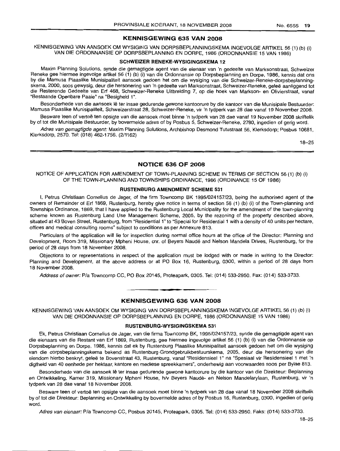## KENNISGEWING 635 VAN 2008

KENNISGEWING VAN AANSOEK OM WYSIGING VAN DORPSBEPLANNINGSKEMA INGEVOLGE ARTIKEL 56 (1) (b) (i) VAN DIE ORDONNANSIE OP DORPSBEPLANNING EN DORPE, 1986 (ORDONNANSIE 15 VAN 1986)

## SCHWEIZER RENEKE-WYSIGINGSKEMA 12

Maxim Planning Solutions, synde die gemagtigde agent van die eienaar van 'n gedeelte van Marksonstraat, Schweizer Reneke gee hiermee ingevolge artikel 56 (1) (b) (i) van die Ordonnansie op Dorpsbeplanning en Dorpe, 1986, kennis dat ons by die Mamusa Plaaslike Munisipaliteit aansoek gedoen het om die wysiging van die Schweizer-Reneke-dorpsbeplanningskema, 2000, soos gewysig, deur die hersonering van 'n gedeelte van Marksonstraat, Schweizer-Reneke, geleë aanliggend tot die Resterende Gedeelte van Erf 468, Schweizer-Reneke Uitbreiding 7, op die hoek van Markson- en Olivierstraat, vanaf "Bestaande Openbare Paaie" na "Besigheid 1".

Besonderhede van die aansoek lê ter insae gedurende gewone kantoorure by die kantoor van die Munisipale Bestuurder: Mamusa Plaaslike Munisipaliteit, Schweizerstraat 28, Schweizer-Reneke, vir 'n tydperk van 28 dae vanaf 19 November 2008.

Besware teen of vertoë ten opsigte van die aansoek moet binne 'n tydperk van 28 dae vanaf 19 November 2008 skriftelik by of tot die Munisipale Bestuurder, by bovermelde adres of by Posbus 5, Schweizer-Reneke, 2780, ingedien of gerig word.

Adres van gemagtigde agent: Maxim Planning Solutions, Archbishop Desmond Tutustraat 56, Klerksdorp; Posbus 10681, KIEirksdorp, 2570. Tel: (018) 462-1756. (2/1162)

18-25

## NOTICE 636 OF 2008

NOTICE OF APPLICATION FOR AMENDMENT OF TOWN-PLANNING SCHEME IN TERMS OF SECTION 56 (1) (b) (i) OF THE TOWN-PLANNING AND TOWNSHIPS ORDINANCE, 1986 (ORDINANCE 15 OF 1986)

#### RUSTENBURG AMENDMENT SCHEME 531

I, Petrus Christiaan Cornelius de Jager, of the firm Towncomp BK 1995/024157/23, being the authorised agent of the owners of Remainder of Erf 1869, Rustenburg, hereby give notice in terms of section 56 (1) (b) (i) of the Town-planning and Townships Ordinance, 1869, that I have applied to the Rustenburg Local Municipality for the amendment of the town-planning scheme known as Rustenburg Land Use Management Scheme, 2005, by the rezoning of the property described above, situated at 43 Boven Street, Rustenburg, from "Residential 1"to "Special for Residential 1 with a density of 40 units per hectare, offices and medical consulting rooms" subject to conditions as per Annexure 813.

Particulars of the application will lie for inspection during normal office hours at the office of the Director: Planning and Development, Room 319, Missionary Mpheni House, cnr. of Beyers Naude and Nelson Mandela Drives, Rustenburg, for the period of 28 days from 18 November 2008.

Objections to or representations in respect of the application must be lodged with or made in writing to the Director: Planning and Development, at the above address or at PO Box 16, Rustenburg, 0300, within a period of 28 days from 18 November 2008.

Address of owner: Pia Towncomp CC, PO Box 20145, Proteapark, 0305. Tel: (014) 533-2950. Fax: (014) 533-3733.

## **•** KENNISGEWING 636 VAN 2008

KENNISGEWING VAN AANSOEK OM WYSIGING VAN DORPSBEPLANNINGSKEMA INGEVOLGE ARTIKEL 56 (1) (b) (i) VAN DIE ORDONNANSIE OP DORPSBEPLANNING EN DORPE, 1986 (ORDONNANSIE 15 VAN 1986)

#### RUSTENBURG-WYSIGINGSKEMA 531

Ek, Petrus Christiaan Cornelius de Jager, van die firma Towncomp BK, 1995/024157/23, synde die gemagtigde agent van die eienaars van die Restant van Erf 1869, Rustenburg, gee hiermee ingevolge artikel 56 (1) (b) (i) van die Ordonnansie op Dorpsbeplanning en Darpe, 1986, kennis dat ek by Rustenburg Plaaslike Munisipaliteit aansoek gedoen het om die wysiging van die dorpsbeplanningskema bekend as Rustenburg-Grondgebruikbestuurskema, 2005, deur die hersonering van die eiendom hierbo beskryf, geleë te Bovenstraat 43, Rustenburg, vanaf "Residensieel 1" na "Spesiaal vir Residensieel 1 met 'n digtheid van 40 eenhede per hektaar, kantore en mediese spreekkamers", onderhewig aan voorwaardes soos per Bylae 813.

Besonderhede van die aansoek lê ter insae gedurende gewone kantoorure by die kantoor van die Direkteur: Beplanning en Ontwikkeling, Kamer 319, Missionary Mpheni House, h/v Beyers Naudé- en Nelson Mandelarylaan, Rustenburg, vir 'n tydperk van 28 dae vanaf 18 November 2008.

Besware teen of vertoe ten opsigte van die aansoek moet binne 'n tydperk van 28 dae vanaf 18 November 2008 skriftelik by of tot die Direkteur: Beplanning en Ontwikkeling by bovermelde adres of by Posbus 16, Rustenburg, 0300, ingedien of gerig word.

Adres van eienaar: P/a Towncomp CC, Posbus 20145, Proteapark, 0305. Tel: (014) 533-2950. Faks: (014) 533-3733.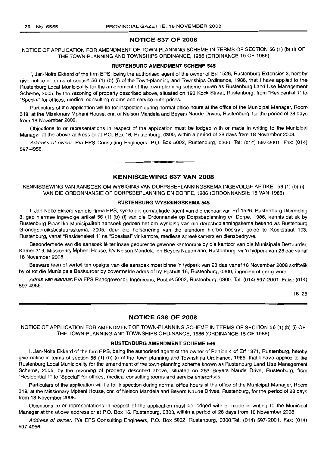## NOTICE 637 OF 2008

## NOTICE OF APPLICATION FOR AMENDMENT OF TOWN-PLANNING SCHEME IN TERMS OF SECTION 56 (1) (b) (i) OF THE TOWN-PLANNING AND TOWNSHIPS ORDINANCE, 1986 (ORDINANCE 15 OF 1986)

## RUSTENBURG AMENDMENT SCHEME 545

I, Jan-Nolte Ekkerd of the firm EPS, being the authorised agent of the owner of Erf 1526, Rustenburg Extension 3, hereby give notice in terms of section 56 (1) (b) (i) of the Town-planning and Townships Ordinance, 1986, that I have applied to the Rustenburg Local Municipality for the amendment of the town-planning scheme known as Rustenburg Land Use Management Scheme, 2005, by the rezoning of property described above, situated on 193 Kock Street, Rustenburg, from "Residential 1" to "Special" for offices, medical consulting rooms and service enterprises.

Particulars of the application will lie for inspection during normal office hours at the office of the Municipal Manager, Room 319, at the Missionary Mpheni House, cnr. of Nelson Mandela and Beyers Naude Drives, Rustenburg, for the period of 28 days from 18 November 2008.

Objections to or representations in respect of the application must be lodged with or made in writing to the Municipal Manager at the above address or at P.O. Box 16, Rustenburg, 0300, within a period of 28 days from 18 November 2008.

Address of owner: Pia EPS Consulting Engineers, P.O. Box 5002, Rustenburg, 0300. Tel: (014) 597-2001. Fax: (014) 597-4956.

## KENNISGEWING 637 VAN 2008

**•**

KENNISGEWING VAN AANSOEK OM WYSIGING VAN DORPSBEPLANNINGSKEMA INGEVOLGE ARTIKEL 56 (1) (b) (i) VAN DIE ORDONNANSIE OP DORPSBEPLANNING EN DORPE, 1986 (ORDONNANSIE 15 VAN 1986)

#### RUSTENBURG-WYSIGINGSKEMA 545

I, Jan-Nolte Ekkerd van die firma EPS, synde die gemagtigde agent van die eienaar van Erf 1526, Rustenburg Uitbreiding 3, gee hiermee ingevolge artikel 56 (1) (b) (i) van die Ordonnansie op Dorpsbeplanning en Dorpe, 1986, kennis dat ek by Rustenburg Plaaslike Munisipaliteit aansoek gedoen het om wysiging van die dorpsbeplanningskema bekend as Rustenburg Grondgebruiksbestuursskema, 2005, deur die hersonering van die eiendom hierbo beskryf, gelee te Kockstraat 193, Rustenburg, vanaf "Residensieel 1" na "Spesiaal" vir kantore, mediese spreekkamers en diensbedrywe.

Besonderhede van die aansoek lê ter insae gedurende gewone kantoorure by die kantoor van die Munisipale Bestuurder, Kamer 319, Missionary Mpheni House, h/v Nelson Mandela- en Beyers Naudelane, Rustenburg, vir 'n tydperk van 28 dae vanaf 18 November 2008.

Besware teen of vertoë ten opsigte van die aansoek moet binne 'n tydperk van 28 dae vanaf 18 November 2008 skriftelik by of tot die Munisipale Bestuurder by bovermelde adres of by Posbus 16, Rustenburg, 0300, ingedien of gerig word.

Adres van eienaar: Pia EPS Raadgewende Ingenieurs, Posbus 5002, Rustenburg, 0300. Tel: (014) 597-2001. Faks: (014) 597-4956.

18-25

## NOTICE 638 OF 2008

NOTICE OF APPLICATION FOR AMENDMENT OF TOWN-PLANNING SCHEME IN TERMS OF SECTION 56 (1) (b) (i) OF THE TOWN-PLANNING AND TOWNSHIPS ORDINANCE, 1986 (ORDINANCE 15 OF 1986)

## RUSTENBURG AMENDMENT SCHEME 546

I, Jan-Nolte Ekkerd of the firm EPS, being the authorised agent of the owner of Portion 4 of Erf 1371, Rustenburg, hereby give notice in terms of section 56 (1) (b) (i) of the Town-planning and Townships Ordinance, 1986, that I have applied to the Rustenburg Local Municipality for the amendment of the town-planning scheme known as Rustenburg Land Use Management Scheme, 2005, by the rezoning of property described above, situated on 253 Beyers Naude Drive, Rustenburg, from "Residential 1" to "Special" for offices, medical consulting rooms and service enterprises.

Particulars of the application will lie for inspection during normal office hours at the office of the Municipal Manager, Room 319, at the Missionary Mpheni House, cnr. of Nelson Mandela and Beyers Naude Drives, Rustenburg, for the period of 28 days from 18 November 2008.

Objections to or representations in respect of the application must be lodged with or made in writing to the Municipal Manager at the above address or at P.O. Box 16, Rustenburg, 0300, within a period of 28 days from 18 November 2008.

Address of owner: Pia EPS Consulting Engineers, P.O. Box 5002, Rustenburg, 0300.Tel: (014) 597-2001. Fax: (014) 597-4956.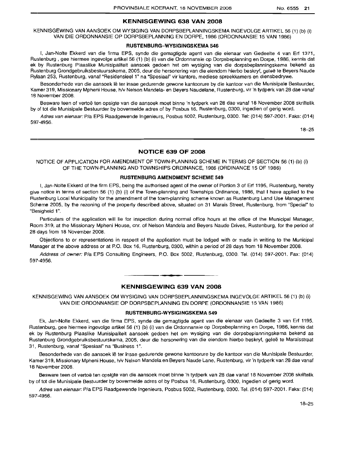## **KENNISGEWING 638 VAN 2008**

KENNISGEWING VAN AANSOEK OM WYSIGING VAN DORPSBEPLANNINGSKEMA INGEVOLGE ARTIKEL 56 (1) (b) (i) VAN DIE ORDONNANSIE OP DORPSBEPLANNING EN DORPE, 1986 (ORDONNANSIE 15 VAN 1986)

#### **RUSTENBURG-WYSIGINGSKEMA** 546

I, Jan-Nolte Ekkerd van die firma EPS, synde die gemagtigde agent van die eienaar van Gedeelte 4 van Erf 1371, Rustenburg , gee hiermee ingevolge artikel 56 (1) (b) (i) van die Ordonnansie op Dorpsbeplanning en Dorpe, 1986, kennis dat ek by Rustenburg Plaaslike Munisipaliteit aansoek gedoen het om wysiging van die dorpsbeplanningskema bekend as Rustenburg Grondgebruiksbestuursskema, 2005, deur die hersonering van die eiendom hierbo beskryf, geleë te Beyers Naude Rylaan 253, Rustenburg, vanaf "Residensieel 1" na "Spesiaal" vir kantore, mediese spreekkamers en diensbedrywe.

Besonderhede van die aansoek lê ter insae gedurende gewone kantoorure by die kantoor van die Munisipale Bestuurder, Kamer 319, Missionary Mpheni House, h/v Nelson Mandela- en Beyers Naudelane, Rustenburg, vir 'n tydperk van 28 dae vanaf 18 November 2008.

Besware teen of vertoë ten opsigte van die aansoek moet binne 'n tydperk van 28 dae vanaf 18 November 2008 skriftelik by of tot die Munisipale Bestuurder by bovermelde adres of by Posbus 16, Rustenburg, 0300, ingedien of gerig word.

Adres van eienaar: PIa EPS Raadgewende Ingenieurs, Posbus 5002, Rustenburg, 0300. Tel: (014) 597-2001. Faks: (014) 597-4956.

18-25

## **NOTICE 639 OF 2008**

NOTICE OF APPLICATION FOR AMENDMENT OF TOWN-PLANNING SCHEME IN TERMS OF SECTION 56 (1) (b) (i) OF THE TOWN-PLANNING AND TOWNSHIPS ORDINANCE, 1986 (ORDINANCE 15 OF 1986)

## **RUSTENBURG AMENDMENT SCHEME** 549

I, Jan-Nolte Ekkerd of the firm EPS, being the authorised agent of the owner of Portion 3 of Erf 1195, Rustenburg, hereby give notice in terms of section 56 (1) (b) (i) of the Town-planning and Townships Ordinance, 1986, that I have applied to the Rustenburg Local Municipality for the amendment of the town-planning scheme known as Rustenburg Land Use Management Scheme 2005, by the rezoning of the property described above, situated on 31 Marais Street, Rustenburg, from "Special" to "Besigheid 1".

Particulars of the application will lie for inspection during normal office hours at the office of the Municipal Manager, Room 319, at the Missionary Mpheni House, em. of Nelson Mandela and Beyers Naude Drives, Rustenburg, for the period of 28 days from 18 November 2008.

Objections to or representations in respect of the application must be lodged with or made in writing to the Municipal Manager at the above address or at P.O. Box 16, Rustenburg, 0300, within a period of 28 days from 18 November 2008.

Address of owner: PIa EPS Consulting Engineers, P.O. Box 5002, Rustenburg, 0300. Tel. (014) 597-2001. Fax: (014) 597-4956.

## **KENNISGEWING 639 VAN 2008**

**-**

KENNISGEWING VAN AANSOEK OM WYSIGING VAN DORPSBEPLANNINGSKEMA INGEVOLGE ARTIKEL 56 (1) (b) (i) VAN DIE ORDONNANSIE OP DORPSBEPLANNING EN DORPE (ORDONNANSIE 15 VAN 1986)

#### **RUSTENBURG-WYSIGINGSKEMA** 549

Ek, Jan-Nolte Ekkerd, van die firma EPS, synde die gemagtigde agent van die eienaar van Gedeelte 3 van Erf 1195, Rustenburg, gee hiermee ingevolge artikel 56 (1) (b) (i) van die Ordonnansie op Dorpsbeplanning en Darpe, 1986, kennis dat ek by Rustenburg Plaaslike Munisipaliteit aansoek gedoen het om wysiging van die dorpsbeplanningskema bekend as Rustenburg Grondgebruiksbestuurskema, 2005, deur die hersonering van die eiendom hierbo beskryf, gelee te Maraisstraat 31, Rustenburg, vanaf "Spesiaal" na "Business 1".

Besonderhede van die aansoek lê ter insae gedurende gewone kantoorure by die kantoor van die Munisipale Bestuurder, Kamer 319, Missionary Mpheni House, h/v Nelson Mandela en Beyers Naude Lane, Rustenburg, vir 'n tydperk van 28 dae vanaf 18 November 2008.

Besware teen of vertoe ten opsigte van die aansoek moet binne 'n tydperk van 28 dae vanaf 18 November 2008 skrittelik by of tot die Munisipale Bestuurder by bovermelde adres of by Posbus 16, Rustenburg, 0300, ingedien of gerig word.

Adres van eienaar: PIa EPS Raadgewende Ingenieurs, Posbus 5002, Rustenburg, 0300. Tel. (014) 597-2001. Faks: (014) *5970-4956.*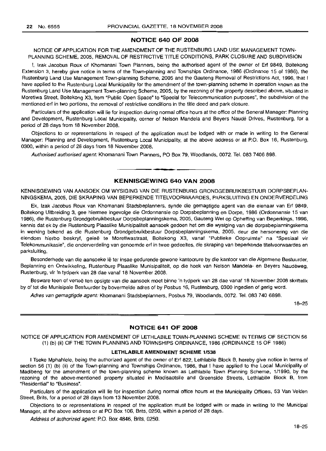## **NOTICE 640 OF 2008**

NOTICE OF APPLICATION FOR THE AMENDMENT OF THE RUSTENBURG LAND USE MANAGEMENT TOWN-PLANNING SCHEME, 2005, REMOVAL OF RESTRICTIVE TITLE CONDITIONS, PARK CLOSURE AND SUBDIVISION

I, Izak Jacobus Roux of Khomanani Town Planners, being the authorised agent of the owner of Ert 9849, Boitekong Extension 3, hereby give notice in terms of the Town-planning and Townships Ordinance, 1986 (Ordinance 15 of 1986), the Rustenburg Land Use Management Town-planning Scheme, 2005 and the Gauteng Removal of Restrictions Act, 1996, that I have applied to the Rustenburg Local Municipality for the amendment of the town-planning scheme in operation known as the Rustenburg Land Use Management Town-planning Scheme, 2005, by the rezoning of the property described above, situated in Moretlwa Street, Boitekong X3, from "Public Open Space" to "Special for Telecommunication purposes", the subdivision of the mentioned ert in two portions, the removal of restrictive conditions in the title deed and park closure.

Particulars of the application will lie for inspection during normal office hours at the office of the General Manager: Planning and Development, Rustenburg Local Municipality, corner of Nelson Mandela and Beyers Naude Drives, Rustenburg, for a period of 28 days from 18 November 2008.

Objections to or representations in respect of the application must be lodged with or made in writing to the General Manager: Planning and Development, Rustenburg Local Municipality, at the above address or at P.O. Box 16, Rustenburg, 0300, within a period of 28 days from 18 November 2008.

Authorised authorised agent: Khomanani Town Planners, PO Box 79, Woodlands, 0072. Tel. 083 7406 898.

## **KENNISGEWING 640 VAN 2008**

**• •**

KENNISGEWING VAN AANSOEK OM WYSIGING VAN DIE RUSTENBURG GRONDGEBRUIKBESTUUR DORPSBEPLAN-NINGSKEMA, 2005, DIE SKRAPING VAN BEPERKENDE TITELVOORWAARDES, PARKSLUITING EN ONDERVERDELING

Ek, Izak Jacobus Roux van Khomanani Stadsbeplanners, synde die gemagtigde agent van die eienaar van Ert 9849, Boitekong Uitbreiding 3, gee hiermee ingevolge die Ordonnansie op Dorpsbeplanning en Dorpe, 1986 (Ordonnansie 15 van 1986), die Rustenburg Grondgebruikbestuur Dorpsbeplanningskema, 2005, Gauteng Wet op Opheffing van Beperkings, 1996, kennis dat ek by die Rustenburg Plaaslike Munisipaliteit aansoek gedoen het om die wysiging van die dorpsbeplanningskema in werking bekend as die Rustenburg Grondgebruikbestuur Dorpsbeplanningskema, 2005, deur die hersonering van die eiendom hierbo beskryf, geleë te Moretlwastraat, Boitekong X3, vanaf "Publieke Oopruimte" na "Spesiaal vir Telekommunikasie", die onderverdeling van genoemde ert in twee gedeeltes, die skraping van beperkende titelvoorwaardes en parksluiting.

Besonderhede van die aansoeke lê ter insae gedurende gewone kantoorure by die kantoor van die Algemene Bestuurder, Beplanning en Ontwikkeling, Rustenburg Plaaslike Munisipaliteit, op die hoek van Nelson Mandela- en Beyers Naudéweg, Rustenburg, vir 'n tydperk van 28 dae vanaf 18 November 2008.

Besware teen of vertoë ten opsigte van die aansoek moet binne 'n tydperk van 28 dae vanaf 18 November 2008 skriftelik by of tot die Munisipale Bestuurder by bovermelde adres of by Posbus 16, Rustenburg, 0300 ingedien of gerig word.

Adres van gemagtigde agent: Khomanani Stadsbeplanners, Posbus 79, Woodlands, 0072. Tel. 083 740 6898.

18-25

## **NOTICE 641 OF 2008**

NOTICE OF APPLICATION FOR AMENDMENT OF LETHLABILE TOWN-PLANNING SCHEME IN TERMS OF SECTION 56 (1) (b) (ii) OF THE TOWN PLANNING AND TOWNSHIPS ORDINANCE, 1986 (ORDINANCE 15 OF 1986)

## **LETHLABILE AMENDMENT SCHEME 1/538**

I Tseke Mphahlele, being the authorized agent of the owner of Ert 822, Lethlabile Block B, hereby give notice in terms of section 56 (1) (b) (ii) of the Town-planning and Townships Ordinance, 1986, that I have applied to the Local Municipality of Madibeng for the amendment of the town-planning scheme known as Lethlabile Town Planning Scheme, 1/1990, by the rezoning of the above-mentioned property situated in Modisaotsile and Greenside Streets, Lethlabile Block B, from "Residential" to "Business".

Particulars of the application will lie for inspection during normal office hours at the Municipality Offices, 53 Van Velden Street, Brits, for a period of 28 days from 13 November 2008.

Objections to or representations in respect of the application must be lodged with or made in writing to the Municipal Manager, at the above address or at PO Box 106, Brits, 0250, within a period of 28 days.

Address of authorized agent: P.O. Box 4846, Brits, 0250.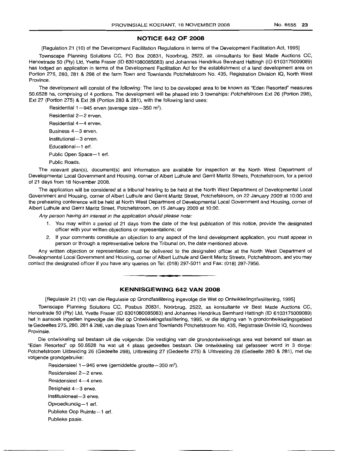#### NO.6555 23

## **NOTICE 642 OF 2008**

[Regulation 21 (10) of the Development Facilitation Regulations in terms of the Development Facilitation Act, 1995]

Townscape Planning Solutions CC, PO Box 20831, Noorbrug, 2522, as consultants for Best Made Auctions CC, Hencetrade 50 (Pty) Ltd, Yvette Fraser (ID 6301080085083) and Johannes Hendrikus Bernhard Hattingh (ID 6103175009089) has lodged an application in terms of the Development Facilitation Act for the establishment of a land development area on Portion 275, 280, 281 & 298 of the farm Town and Townlands Potchefstroom No. 435, Registration Division IQ, North West Province.

The development will consist of the following: The land to be developed area to be known as "Eden Resorted" measures 50.Ei528 ha, comprising of 4 portions. The development will be phased into 3 townships: Potchefstroom Ext 26 (Portion 298), Ext 27 (Portion 275) & Ext 28 (Portion 280 & 281), with the following land uses:

Residential  $1-945$  erven (average size $-350$  m<sup>2</sup>). Residential 2-2 erven. Residential  $4-4$  erven. Business 4-3 erven. Institutional-3 erven. Educational-1 erf. Public Open Space-1 erf. Public Roads.

The relevant plan(s), document(s) and information are available for inspection at the North West Department of Developmental Local Government and Housing, corner of Albert Luthule and Gerrit Maritz Streets, Potchefstroom, for a period of 21 days from 18 November 2008.

The application will be considered at a tribunal hearing to be held at the North West Department of Developmental Local Government and Housing, corner of Albert Luthule and Gerrit Maritz Street, Potchefstroom, on 22 January 2009 at 10:00 and the prehearing conference will be held at North West Department of Developmental Local Government and Housing, corner of Albert Luthule and Gerrit Maritz Street, Potchefstroom, on 15 January 2009 at 10:00.

Any person having an interest in the application should please note:

- 1. You may within a period of 21 days from the date of the first publication of this notice, provide the designated officer with your written objections or representations; or
- 2. If your comments constitute an objection to any aspect of the land development application, you must appear in person or through a representative before the Tribunal on, the date mentioned above.

Any written objection or representation must be delivered to the designated officer at the North West Department of Developmental Local Government and Housing, corner of Albert Luthule and Gerrit Maritz Streets, Potchefstroom, and you may contact the designated officer if you have any queries on Tel: (018) 297-5011 and Fax: (018) 297-7956.

## **KENNISGEWING 642 VAN 2008**

**I •**

[Regulasie 21 (10) van die Regulasie op Grondfasilitering ingevolge die Wet op Ontwikkelingsfasilitering, 1995]

Townscape Planning Solutions CC, Posbus 20831, Noorbrug, 2522, as konsultante vir Best Made Auctions CC, Hencetrade 50 (Pty) Ltd, Yvette Fraser (ID 6301080085083) and Johannes Hendrikus Bernhard Hattingh (ID 6103175009089) het 'n aansoek ingedien ingevolge die Wet op Ontwikkelingsfasilitering, 1995, vir die stigting van 'n grondontwikkelingsgebied te Gedeeltes 275, 280, 281 & 298, van die plaas Town and Townlands Potchefstroom No. 435, Registrasie Divisie IQ, Noordwes Provinsie.

Die ontwikkeling sal bestaan uit die volgende: Die vestiging van die grondontwikkelings area wat bekend sal staan as "Eden Resorted" op 50.6528 ha wat uit 4 plaas gedeeltes bestaan. Die ontwikkeling sal gefasseer word in 3 dorpe: Potchefstroom Uitbreiding 26 (Gedeelte 298), Uitbreiding 27 (Gedeelte 275) & Uitbreiding 28 (Gedeelte 280 & 281), met die volqende grondgebruike:

Residensieel  $1-945$  erwe (gemiddelde grootte $-350$  m<sup>2</sup>). Residensieel 2-2 erwe. Residensieel 4-4 erwe. Besigheid  $4-3$  erwe. Institusioneel-3 erwe. Opvoedkundig-1 erf.

Publieke Oop Ruimte-1 erf.

Publieke paaie.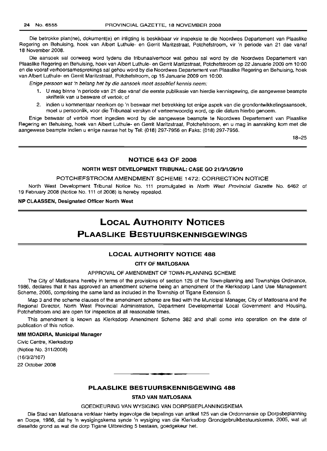Die betrokke plan(ne), dokument(e) en inligting is beskikbaar vir inspeksie te die Noordwes Departement van Plaaslike Regering en Behuising, hoek van Albert Luthule- en Gerrit Maritzstraat, Potchefstroom, vir 'n periode van 21 dae vanaf 18 November 2008.

Die aansoek sal oorweeg word tydens die tribunaalverhoor wat gehou sal word by die Noordwes Departement van Plaaslike Regering en Behuising, hoek van Albert Luthule- en Gerrit Maritzstraat, Potchefstroom op 22 Januarie 2009 om 10:00 en die vooraf verhoorsamesprekings sal gehou word by die Noordwes Departement van Plaaslike Regering en Behuising, hoek van Albert Luthule- en Gerrit Maritzstraat, Potchefstroom, op 15 Januarie 2009 om 10:00.

Enige persoon wat 'n belang het by die aansoek moet asseblief kennis neem:

- 1. U mag binne 'n periode van 21 dae vanaf die eerste publikasie van hierdie kennisgewing, die aangewese beampte skriftelik van u besware of vertoe: of
- 2. indien u kommentaar neerkom op 'n beswaar met betrekking tot enige aspekvan die grondontwikkelingsaansoek, moet u persoonlik, voor die Tribunaal verskyn of verteenwoordig word, op die datum hierbo genoem.

Enige beswaar of vertoë moet ingedien word by die aangewese beampte te Noordwes Departement van Plaaslike Regering en Behuising, hoek van Albert Luthule- en Gerrit Maritzstraat, Potchefstroom, en u mag in aanraking kom met die aangewese beampte indien u enige navrae het by Tel: (018) 297-7956 en Faks: (018) 297-7956.

18-25

## NOTICE 643 OF 2008

## NORTH WEST DEVELOPMENT TRIBUNAL: CASE GO *211311/26/10*

## POTCHEFSTROOM AMENDMENT SCHEME 1472: CORRECTION NOTICE

North West Development Tribunal Notice No. 111 promulgated in North West Provincial Gazette No. 6462 of 19 February 2008 (Notice No. 111 of 2008) is hereby repealed.

## NP CLAASSEN, Designated Officer North West

## **LOCAL AUTHORITY NOTICES**

## **PLAASLIKE BESTUURSKENNISGEWINGS**

## LOCAL AUTHORITY NOTICE 488

#### CITY OF MATLOSANA

## APPROVAL OF AMENDMENT OF TOWN-PLANNING SCHEME

The City of Matlosana hereby in terms of the provisions of section 125 of the Town-planning and Townships Ordinance, 1986, declares that it has approved an amendment scheme being an amendment of the Klerksdorp Land Use Management Scheme, 2005, comprising the same land as included in the Township of Tigane Extension 5.

Map 3 and the scheme clauses of the amendment scheme are filed with the Municipal Manager, City of Matlosana and the Regional Director, North West Provincial Administration, Department Developmental Local Government and Housing, Potchefstroom and are open for inspection at all reasonable times.

This amendment is known as Klerksdorp Amendment Scheme 382 and shall come into operation on the date of publication of this notice.

#### MM MOADIRA, Municipal Manager

Civic Centre, Klerksdorp (Notice No. 311/2008) (16/3/2/107) 22 October 2008

## PLAASLIKE BESTUURSKENNISGEWING 488

.**-.**

## STAD VAN MATLOSANA

## GOEDKEURING VAN WYSIGING VAN DORPSBEPLANNINGSKEMA

Die Stad van Matlosana verklaar hierby ingevolge die bepalings van artikel 125 van die Ordonnansie op Dorpsbeplanning en Dorpe, 1986, dat hy 'n wysigingskema synde 'n wysiging van die Klerksdorp Grondgebruikbestuurskema, 2005, wat uit dieselfde grond as wat die dorp Tigane Uitbreiding 5 bestaan, goedgekeur het.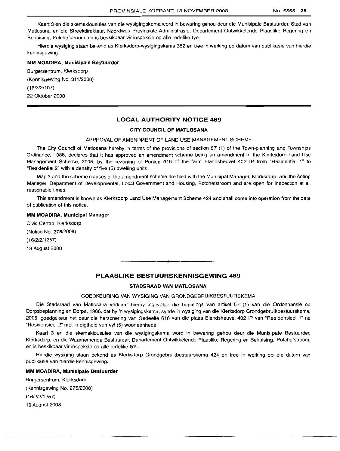Kaart 3 en die skemaklousules van die wysigingskema word in bewaring gehou deur die Munisipale Bestuurder, Stad van Matlosana en die Streekdirekteur, Noordwes Provinsiale Administrasie, Departement Ontwikkelende Plaaslike Regering en Behuising, Potchefstroom, en is beskikbaar vir inspeksie op alie redelike tye.

Hierdie wysiging staan bekend as Klerksdorp-wysigingskema 382 en tree in werking op datum van publikasie van hierdie kennisgewing.

## **MM MOADIRA, Munisipale Bestuurder**

Burgersentrum, Klerksdorp (Kennisgewing No. 311/2008)  $(16/3/2/107)$ 22 Oktober 2008

## **LOCAL AUTHORITY NOTICE 489**

## **CITY COUNCIL OF MATLOSANA**

#### APPROVAL OF AMENDMENT OF LAND USE MANAGEMENT SCHEME

The City Council of Matlosana hereby in terms of the provisions of section 57 (1) of the Town-planning and Townships Ordinance, 1986, declares that it has approved an amendment scheme being an amendment of the Klerksdorp Land Use Management Scheme, 2005, by the rezoning of Portion 616 of the farm Elandsheuvel 402 IP from "Residential 1" to "Residential 2" with a density of five (5) dwelling units.

Map 3 and the scheme clauses of the amendment scheme are filed with the Municipal Manager, Klerksdorp, and the Acting Manager, Department of Developmental, Local Government and Housing, Potchefstroom and are open for inspection at all reasonable times.

This amendment is known as Klerksdorp Land Use Management Scheme 424 and shall come into operation from the date of publication of this notice.

#### **MM MOADIRA, Municipal Manager**

Civic Centre, Klerksdorp (Notice No. 275/2008) (16/2/2/1257) 19 August 2008

## **PLAASLIKE BESTUURSKENNISGEWING 489**

.**- .**

## **STADSRAAD VAN MATLOSANA**

## GOEDKEURING VAN WYSIGING VAN GRONDGEBRUIKBESTUURSKEMA

Die Stadsraad van Matlosana verklaar hierby ingevolge die bepalings van artikel 57 (1) van die Ordonnansie op Dorpsbeplanning en Dorpe, 1986, dat hy 'n wysigingskema, synde 'n wysiging van die Klerksdorp Grondgebruikbestuurskema, 2005, goedgekeur het deur die hersonering van Gedeelte 616 van die plaas Elandsheuvel 402 IP van "Residensieel 1" na "Residensieel 2" met 'n digtheid van vyf (5) wooneenhede.

Kaart 3 en die skemaklousules van die wysigingskema word in bewaring gehou deur die Munisipale Bestuurder, Klerksdorp, en die Waarnemende Bestuurder, Departement Ontwikkelende Plaaslike Regering en Behuising, Potchefstroom, en is beskikbaar vir inspeksie op aile redelike tye.

Hierdie wysiging staan bekend as Klerksdorp Grondgebruikbestuurskema 424 en tree in werking op die datum van publikasie van hierdie kennisgewing.

## **MM MOADIRA, Munisipale Bestuurder**

Burgersentrum, Klerksdorp (Kennisgewing No. 275/2008) (16/2/2/1257) 19 August 2008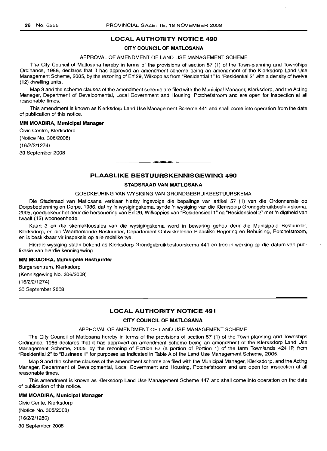## **LOCAL AUTHORITY NOTICE 490**

#### **CITY COUNCIL OF MATLOSANA**

## APPROVAL **OF** AMENDMENT **OF** LAND USE MANAGEMENT SCHEME

The City Council of Matlosana hereby in terms of the provisions of section 57 (1) of the Town-planning and Townships Ordinance, 1986, declares that it has approved an amendment scheme being an amendment of the Klerksdorp Land Use Management Scheme, 2005, by the rezoning of Erf 29, Wilkoppies from "Residential 1" to "Residential 2" with a density of twelve (12) dwelling units.

Map 3 and the scheme clauses of the amendment scheme are filed with the Municipal Manager, Klerksdorp, and the Acting Manager, Department of Developmental, Local Government and Housing, Potchefstroom and are open for inspection at all reasonable times.

This amendment is known as Klerksdorp Land Use Management Scheme 441 and shall come into operation from the date of publication of this notice.

#### **MM MOADIRA, Municipal Manager**

Civic Centre, Klerksdorp (Notice No. 306/2008) (16/2/2/1274) 30 September 2008

## **PLAASLIKE BESTUURSKENNISGEWING 490**

**-**

### **STADSRAAD VAN MATLOSANA**

#### GOEDKEURING VAN WYSIGING VAN GRONDGEBRUIKBESTUURSKEMA

Die Stadsraad van Matlosana verklaar hierby ingevolge die bepalings van artikel 57 (1) van die Ordonnansie op Dorpsbeplanning en Dorpe, 1986, dat hy 'n wysigingskema, synde 'n wysiging van die Klerksdorp Grondgebruikbestuurskema, 2005, goedgekeur het deur die hersonering van Erf 29, Wilkoppies van "Residensieel 1" na "Residensieel 2" met 'n digtheid van twaalf (12) wooneenhede.

Kaart 3 en die skemaklousules van die wysigingskema word in bewaring gehou deur die Munisipale Bestuurder, Klerksdorp, en die Waarnemende Bestuurder, Departement Ontwikkelende Plaaslike Regering en Behuising, Potchefstroom, en is beskikbaar vir inspeksie op aile redelike tye.

Hierdie wysiging staan bekend as Klerksdorp Grondgebruikbestuurskema 441 en tree in werking op die datum van publikasie van hierdie kennisgewing.

#### **MM MOADIRA, Munisipale Bestuurder**

Burgersentrum, Klerksdorp (Kennisgewing No. 306/2008) (16/2/2/1274) 30 September 2008

## **LOCAL AUTHORITY NOTICE 491**

## **CITY COUNCIL OF MATLOSANA**

## APPROVAL OF AMENDMENT OF LAND USE MANAGEMENT SCHEME

The City Council of Matlosana hereby in terms of the provisions of section 57 (1) of the Town-planning and Townships Ordinance, 1986 declares that it has approved an amendment scheme being an amendment of the Klerksdorp Land Use Management Scheme, 2005, by the rezoning of Portion 67 (a portion of Portion 1) of the farm Townlands 424 **IP,** from "Residential 2" to "Business 1" for purposes as indicated in Table A of the Land Use Management Scheme, 2005.

Map 3 and the scheme clauses of the amendment scheme are filed with the Municipal Manager, Klerksdorp, and the Acting Manager, Department of Developmental, Local Government and Housing, Potchefstroom and are open for inspection at all reasonable times.

This amendment is known as Klerksdorp Land Use Management Scheme 447 and shall come into operation on the date of publication of this notice.

#### **MM MOADIRA, Municipal Manager**

Civic Cente, Klerksdorp (Notice No. 305/2008) (16/2/2/1280) 30 September 2008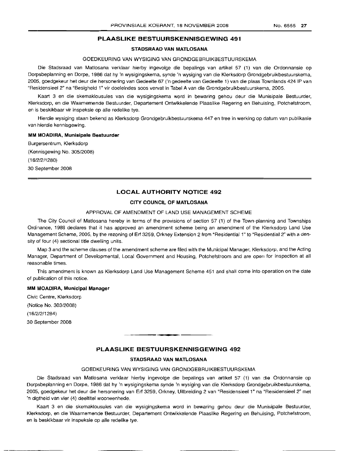## **PLAASLIKE BESTUURSKENNISGEWING 491**

## **STADSRAAD VAN MATLOSANA**

## GOEDKEURING VAN WYSIGING VAN GRONDGEBRUIKBESTUURSKEMA

Die Stadsraad van Matlosana verklaar hierby ingevolge die bepalings van artikel 57 (1) van die Ordonnansie op Dorpsbeplanning en Dorpe, 1986 dat hy 'n wysigingskema, synde 'n wysiging van die Klerksdorp Grondgebruikbestuurskema, 2005, goedgekeur het deur die hersonering van Gedeelte 67 ('n gedeelte van Gedeelte 1) van die plaas Townlands 424 IP van "Residensieel 2" na "Besigheid 1" vir doeleindes soos vervat in Tabel A van die Grondgebruikbestuurskerna, 2005.

Kaart 3 en die skemaklousules van die wysigingskema word in bewaring gehou deur die Munisipale Bestuurder, Klerksdorp, en die Waarnemende Bestuurder, Departement Ontwikkelende Plaaslike Regering en Behuising, Potchefstroom, en is beskikbaar vir inspeksie op aile redelike tye.

Hierdie wysiging staan bekend as Klerksdorp Grondgebruikbestuurskema 447 en tree in werking op datum van publikasie van hierdie kennisgewing.

#### **MM MOADIRA, Munisipale Bestuurder**

Burqersentrurn, Klerksdorp (Kennisgewing No. 305/2008)  $(16/2/2/1280)$ 30 September 2008

## **LOCAL AUTHORITY NOTICE 492**

## **CITY COUNCIL OF MATLOSANA**

## APPROVAL OF AMENDMENT OF LAND USE MANAGEMENT SCHEME

The City Council of Matlosana hereby in terms of the provisions of section 57 (1) of the Town-planning and Townships Ordinance, 1986 declares that it has approved an amendment scheme being an amendment of the Klerksdorp Land Use Management Scheme, 2005, by the rezoning of Erf 3259, Orkney Extension 2 from "Residential 1" to "Residential 2" with a density of four (4) sectional title dwelling units.

Map 3 and the scheme clauses of the amendment scheme are filed with the Municipal Manager, Klerksdorp, and the Acting Manager, Department of Developmental, Local Government and Housing, Potchefstroom and are open for inspection at all reasonable times.

This amendment is known as Klerksdorp Land Use Management Scheme 451 and shall come into operation on the date of publication of this notice.

#### **MM IMOADIRA, Municipal Manager**

Civic Centre, Klerksdorp (Notice No. 303/2008)  $(16/2/2/1284)$ 30 September 2008

## **PLAASLIKE BESTUURSKENNISGEWING 492**

• **- I**

## **STADSRAAD VAN MATLOSANA**

### GOEDKEURING VAN WYSIGING VAN GRONDGEBRUIKBESTUURSKEMA

Die Stadsraad van Matlosana verklaar hierby ingevolge die bepalings van artikel 57 (1) van die Ordonnansie op Dorpsbeplanning en Dorpe, 1986 dat hy 'n wysigingskema synde 'n wysiging van die Klerksdorp Grondgebruikbestuurskema, 2005, goedgekeur het deur die hersonering van Erf 3259, Orkney, Uitbreiding 2 van "Residensieel 1" na "Residensieel 2" met 'n digtheid van vier (4) deeltitel wooneenhede.

Kaart 3 en die skemaklousules van die wysigingskema word in bewaring gehou deur die Munisipale Bestuurder, Klerksdorp, en die Waarnemende Bestuurder, Departement Ontwikkelende Plaaslike Regering en Behuising, Potchefstroom, en is beskikbaar vir inspeksie op aile redelike tye.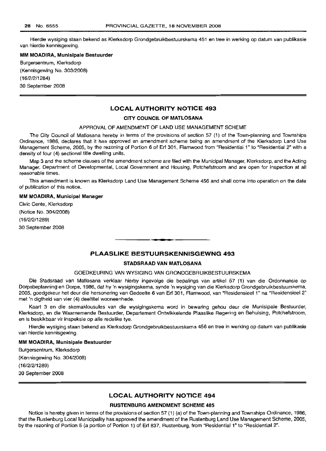Hierdie wysiging staan bekend as Klerksdorp Grondgebruikbestuurskema 451 en tree in werking op datum van publikasie van hierdie kennisgewing.

## **MM MOADIRA, Munisipale Bestuurder**

Burgersentrum, Klerksdorp (Kennisgewing No. 303/2008) (16/2/2/1284) 30 September 2008

## **LOCAL AUTHORITY NOTICE 493**

## **CITY COUNCIL OF MATLOSANA**

## APPROVAL **OF** AMENDMENT OF LAND USE MANAGEMENT SCHEME

The City Council of Matlosana hereby in terms of the provisions of section 57 (1) of the Town-planning and Townships Ordinance, 1986, declares that it has approved an amendment scheme being an amendment of the Klerksdorp Land Use Management Scheme, 2005, by the rezoning of Portion 6 of Erf 301, Flamwood from "Residential 1" to "Residential 2" with a density of four (4) sectional title dwelling units.

Map 3 and the scheme clauses of the amendment scheme are filed with the Municipal Manager, Klerksdorp, and the Acting Manager, Department of Developmental, Local Government and Housing, Potchefstroom and are open for inspection at all reasonable times.

This amendment is known as Klerksdorp Land Use Management Scheme 456 and shall come into operation on the date of publication of this notice.

#### **MM MOADIRA, Municipal Manager**

Civic Cente, Klerksdorp (Notice No. 304/2008) (16/2/2/1289) 30 September 2008

## **PLAASLIKE BESTUURSKENNISGEWNG 493**

**.-**

#### **STADSRAAD VAN MATLOSANA**

## GOEDKEURING VAN WYSIGING VAN GRONDGEBRUIKBESTUURSKEMA

Die Stadsraad van Matlosana verklaar hierby ingevolge die bepalings van artikel 57 (1) van die Ordonnansie op Dorpsbeplanning en Dorpe, 1986, dat hy 'n wysigingskema, synde 'n wysiging van die Klerksdorp Grondgebruikbestuurskema, 2005, goedgekeur het deur die hersonering van Gedeelte 6 van Erf 301, Flamwood, van "Residensieel 1" na "Residensieel 2" met 'n digtheid van vier (4) deeltitel wooneenhede.

Kaart 3 en die skemaklousules van die wysigingskema word in bewaring gehou deur die Munisipale Bestuurder, Klerksdorp, en die Waarnemende Bestuurder, Departement Ontwikkelende Plaaslike Regering en Behuising, Potchefstroom, en is beskikbaar vir inspeksie op aile redelike tye.

Hierdie wysiging staan bekend as Klerksdorp Grondgebruikbestuurskema 456 en tree in werking op datum van publikasie van hierdie kennisgewing.

#### **MM MOADIRA, Munisipale Bestuurder**

Burgersentrum, Klerksdorp (Kennisgewing No. 304/2008) (16/2/2/1289) 30 September 2008

## **LOCAL AUTHORITY NOTICE 494**

#### **RUSTENBURG AMENDMENT SCHEME 485**

Notice is hereby given in terms of the provisions of section 57 (1) (a) of the Town-planning and Townships Ordinance, 1986, that the Rustenburg Local Municipality has approved the amendment of the Rustenburg Land Use Management Scheme, 2005, by the rezoning of Portion 5 (a portion of Portion 1) of Erf 837, Rustenburg, from "Residential 1" to "Residential 2".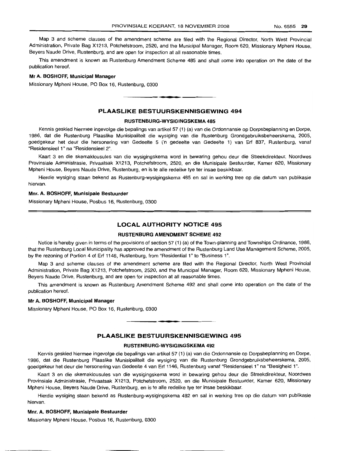Map 3 and scheme clauses of the amendment scheme are filed with the Regional Director, North West Provincial Administration, Private Bag X1213, Potchefstroom, 2520, and the Municipal Manager, Room 620, Missionary Mpheni House, Beyers Naude Drive, Rustenburg, and are open for inspection at all reasonable times.

This amendment is known as Rustenburg Amendment Scheme 485 and shall come into operation on the date of the publication hereof.

## Mr A. BOSHOFF, Municipal Manager

Missionary Mpheni House, PO Box 16, Rustenburg, 0300

## **PLAASLIKE BESTUURSKENNISGEWING** 494

**- .**

#### RUSTENBURG-WYSIGINGSKEMA 485

Kennis geskied hiermee ingevolge die bepalings van artikel 57 (1) (a) van die Ordonnansie op Dorpsbeplanning en Dorpe, 1986, dat die Rustenburg Plaaslike Munisipaliteit die wysiging van die Rustenburg Grondgebruiksbeheerskema, 2005, goedgekeur het deur die hersonering van Gedeelte 5 ('n gedeelte van Gedeelte 1) van Erf 837, Rustenburg, vanaf "Residensieel 1" na "Residensieel 2".

Kaart 3 en die skemaklousules van die wysigingskema word in bewaring gehou deur die Streekdirekteur, Noordwes Provinsiale Administrasie, Privaatsak X1213, Potchefstroom, 2520, en die Munisipale Bestuurder, Kamer 620, Missionary Mpheni House, Beyers Naude Drive, Rustenburg, en is te aile redelike tye ter insae beskikbaar.

Hierdie wysiging staan bekend as Rustenburg-wysigingskema 485 en sal in werking tree op die datum van publikasie hiervan.

#### Mm. A. BOSHOFF, Munisipale Bestuurder

Missionary Mpheni House, Posbus 16, Rustenburg, 0300

## **LOCAL AUTHORITY NOTICE** 495

#### RUSTENBURG AMENDMENT SCHEME 492

Notice is hereby given in terms of the provisions of section 57 (1) (a) of the Town-planning and Townships Ordinance, 1986, that the Rustenburg Local Municipality has approved the amendment of the Rustenburg Land Use Management Scheme, 2005, by the rezoning of Portion 4 of Erf 1146, Rustenburg, from "Residential 1" to "Business 1".

Map 3 and scheme clauses of the amendment scheme are filed with the Regional Director, North West Provincial Administration, Private Bag X1213, Potchefstroom, 2520, and the Municipal Manager, Room 620, Missionary Mpheni House, Beyers Naude Drive, Rustenburg, and are open for inspection at all reasonable times.

This amendment is known as Rustenburg Amendment Scheme 492 and shall come into operation on the date of the publication hereof.

## Mr A. BOSHOFF, Municipal Manager

Missionary Mpheni House, PO Box 16, Rustenburg, 0300

## **PLAASLIKE BESTUURSKENNISGEWING** 495

**••**

#### RUSTENBURG-WYSIGINGSKEMA 492

Kennis geskied hiermee ingevolge die bepalings van artikel 57 (1) (a) van die Ordonnansie op Dorpsbeplanning en Dorpe, 1986, dat die Rustenburg Plaaslike Munisipaliteit die wysiging van die Rustenburg Grondgebruiksbeheerskema, 2005, goeclgekeur het deur die hersonering van Gedeelte 4 van Erf 1146, Rustenburg vanaf "Residensieel 1" na "Besigheid 1".

lKaart 3 en die skemaklousules van die wysigingskema word in bewaring gehou deur die Streekdirekteur, Noordwes Provinsiale Administrasie, Privaatsak X1213, Potchefstroom, 2520, en die Munisipale Bestuurder, Kamer 620, Missionary Mpheni House, Beyers Naude Drive, Rustenburg, en is te aile redelike tye ter insae beskikbaar.

Hierdie wysiging staan bekend as Rustenburg-wysigingskema 492 en sal in werking tree op die datum van publikasie hiervan.

#### Mnr. A. BOSHOFF, Munisipale Bestuurder

Missionary Mpheni House, Posbus 16, Rustenburg, 0300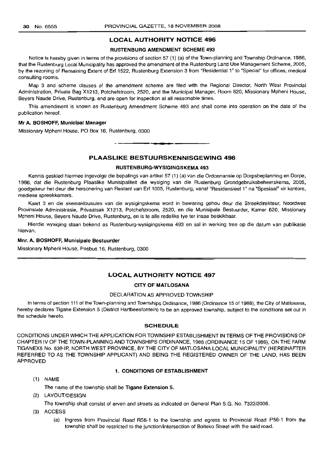## LOCAL AUTHORITY NOTICE 496

#### RUSTENBURG AMENDMENT SCHEME 493

Notice is hereby given in terms of the provisions of section 57 (1) (a) of the Town-planning and Township Ordinance, 1986, that the Rustenburg Local Municipality has approved the amendment of the Rustenburg Land Use Management Scheme, 2005, by the rezoning of Remaining Extent of Erf 1522, Rustenburg Extension 3 from "Residential 1" to "Special" for offices, medical consulting rooms.

Map 3 and scheme clauses of the amendment scheme are filed with the Regional Director, North West Provincial Administration, Private Bag X1213, Potchefstroom, 2520, and the Municipal Manager, Room 620, Missionary Mpheni House, Beyers Naude Drive, Rustenburg, and are open for inspection at all reasonable times.

This amendment is known as Rustenburg Amendment Scheme 493 and shall come into operation on the date of the publication hereof.

## Mr A. BOSHOFF, Municipal Manager

Missionary Mpheni House, PO Box 16, Rustenburg, 0300

PLAASLIKE BESTUURSKENNISGEWING 496

.**-.**

## RUSTENBURG-WYSIGINGSKEMA 493

Kennis geskied hiermee ingevolge die bepalings van artikel 57 (1) (a) van die Ordonnansie op Dorpsbeplanning en Dorpe, 1986, dat die Rustenburg Plaaslike Munisipaliteit die wysiging van die Rustenburg Grondgebruiksbeheerskema, 2005, goedgekeur het deur die hersonering van Restant van Erf 1005, Rustenburg, vanaf "Residensieel 1" na "Spesiaal" vir kantore, mediese spreekkamers.

Kaart 3 en die skemaklousules van die wysigingskema word in bewaring gehou deur die Streekdirekteur, Noordwes Provinsiale Administrasie, Privaatsak X1213, Potchefstroom, 2520, en die Munisipale Bestuurder, Kamer 620, Missionary Mpheni House, Beyers Naude Drive, Rustenburg, en is te aile redelike tye ter insae beskikbaar.

Hierdie wysiging staan bekend as Rustenburg-wysigingskema 493 en sal in werking tree op die datum van publikasie hiervan.

## Mm. A. BOSHOFF, Munisipale Bestuurder

Missionary Mpheni House, Posbus 16, Rustenburg, 0300

## LOCAL AUTHORITY NOTICE 497

#### CITY OF MATLOSANA

#### DECLARATION AS APPROVED TOWNSHIP

In terms of section 111 of the Town-planning and Townships Ordinance, 1986 (Ordinance 15 of 1986), the City of Matlosana, hereby declares Tigane Extension 5 (District Hartbeesfontein) to be an approved township, subject to the conditions set out in the schedule hereto.

## **SCHEDULE**

CONDITIONS UNDER WHICH THE APPLICATION FOR TOWNSHIP ESTABLISHMENT IN TERMS OF THE PROVISIONS OF CHAPTER IV OF THE TOWN-PLANNING AND TOWNSHIPS ORDINANCE, 1986 (ORDINANCE 15 OF 1986), ON THE FARM TIGANEX5 No. 539-IP, NORTH WEST PROVINCE, BY THE CITY OF MATLOSANA LOCAL MUNICIPALITY (HEREINAFrER REFERRED TO AS THE TOWNSHIP APPLICANT) AND BEING THE REGISTERED OWNER OF THE LAND, HAS BEEN APPROVED

## 1. CONDITIONS OF ESTABLISHMENT

(1) NAME

The name of the township shall be Tigane Extension 5.

(2) LAYOUT/DESIGN

The township shall consist of erven and streets as indicated on General Plan S.G. No. 7322/2006.

- (3) ACCESS
	- (a) Ingress from Provincial Road R56-1 to the township and egress to Provincial Road P56-1 from the township shall be restricted to the junction/intersection of Boiteko Street with the said road.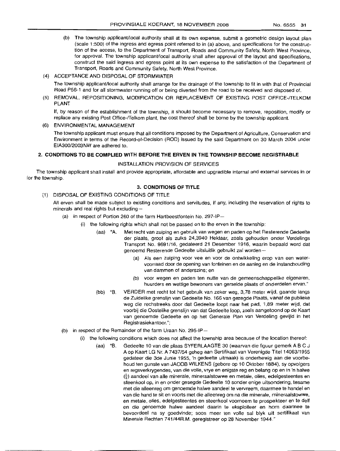- (b) The township applicant/local authority shall at its own expense, submit a geometric design layout plan (scale 1:500) of the ingress and egress point referred to in (a) above, and specifications for the construction of the access, to the Department of Transport, Roads and Community Safety, North West Province, for approval. The township applicant/local authority shall after approval of the layout and specifications, construct the said ingress and egress point at its own expense to the satisfaction of the Department of Transport, Roads and Community Safety, North West Province.
- (4) ACCEPTANCE AND DISPOSAL OF STORMWATER

The township applicant/local authority shall arrange for the drainage of the township to fit in with that of Provincial Road P56-1 and for all stormwater running off or being diverted from the road to be received and disposed of.

(5) REMOVAL, REPOSITIONING, MODIFICATION OR REPLACEMENT OF EXISTING POST OFFICE-/TELKOM PLANT

If, by reason of the establishment of the township, it should become necessary to remove, reposition, modify or replace any existing Post Office-/Telkom plant, the cost thereof shall be borne by the township applicant.

#### (6) ENVIRONMENTAL MANAGEMENT

The township applicant must ensure that all conditions imposed by the Department of Agriculture, Conservation and Environment in terms of the Record-of-Decision (ROD) issued by the said Department on 30 March 2004 under EIA300/2003NW are adhered to.

## 2. **CONDITIONS TO BE COMPLIED WITH BEFORE THE ERVEN IN THE TOWNSHIP BECOME REGISTRABLE**

#### INSTALLATION PROVISION OF SERVICES

The township applicant shall install and provide appropriate, affordable and upgradible internal and external services in or for the township.

## 3. **CONDITIONS OF TITLE**

## (1) DISPOSAL OF EXISTING CONDITIONS OF TITLE

All erven shall be made subject to existing conditions and servitudes, if any, including the reservation of rights to minerals and real rights but excluding-

- (a) in respect of Portion 260 of the farm Hartbeestfontein No. 297-IP-
	- (i) the following rights which shall not be passed on to the erven in the township:
		- (aa) "A. Met recht van zuiping en gebruik van wegen en paden op het Resterende Gedeelte der plaats, groot als zulks 24,3940 Hektaar, zoals gehouden onder Verdelings Transport No. 9691/16, gedateerd 21 Desember 1916, waarin bepaald word dat genoemd Resterende Gedeelte uitsluitlik gebruikt zal worden--
			- (a) Als een zuiping voor vee en voor de ontwikkeling erop van een watervoorraad door de opening van fonteinen en de aanleg en de instandhouding van dammen of anderszins; en
			- (b) voor wegen en paden ten nutte van de gemeenschappelike eigenaren, huurders en wettige bewoners van gemelde plaats of onderdelen ervan."
		- (bb) "B. VERDER met recht tot het gebruik van zeker weg, 3,78 meter wijd, gaande langs de Zuidelike grenslijn van Gedeelte No. 166 van gezegde Plaats, vanaf de publieke weg die rechstreeks door dat Gedeelte loopt naar het pad, 11,89 meter wijd, dat voorbij die Oostelike grenslijn van dat Gedeelte loop, zoals aanqetoond op de Kaart van genoemde Gedeelte en op het Generale Plan van Verdeling gevijld in het Registrasiekantoor.";
- (b) in respect of the Remainder of the farm Uraan No. 295-IP-
	- (i) the following conditions which does not affect the township area because of the location thereof:
		- (aa) "B. Gedeelte 10 van die plaas SYFERLAAGTE 30 (waarvan die figluur gemerk ABC J A op Kaart LG Nr. A 7437/54 geheg aan Sertifikaat van Verenigde Tite114063/1955 gedateer die 3de Junie 1955, 'n gedeelte uitmaak) is onderhewig aan die voorbehoud ten gunste van JACOB WILKENS (gebore op 10 Oktober 1884), sy opvolgers en regsverkrygendes, van die volle, vrye en enigste reg en belang op en in 'n halwe  $\left(\frac{1}{2}\right)$  aandeel van alle minerale, mineraalstowwe en metale, olies, edelgesteentes en steenkool op, in en onder gesegde Gedeelte 10 sonder enige uitsondering, tesame met die alleenreg om genoemde halwe aandeel te vervreem, daarmee te handel en van die hand te sit en voorts met die alleenreg om na die minerale, mineraalstowwe, en metale, olies, edelgesteentes en steenkool voornoem te prospekteer en te delf en die genoemde halwe aandeel daarin te eksploiteer en hom daarmee te bevoordeel na sy goedvinde; soos meer ten volle sal blyk uit sertifikaat van Minerale Rechten 741/44R.M. geregistreer op 28 November 1944."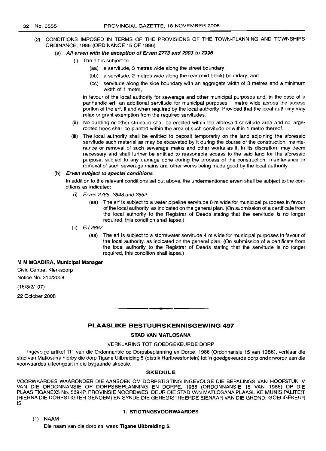(2) CONDITIONS IMPOSED IN TERMS OF THE PROVISIONS OF THE TOWN-PLANNING AND TOWNSHIPS ORDINANCE, 1986 (ORDINANCE 15 OF 1986)

## (a) All erven with the exception of Erven 2773 and 2993 to 2996

- (i) The erf is subject to-
	- (aa) a servitude, 3 metres wide along the street boundary;
	- (bb) a servitude, 2 metres wide along the rear (mid block) boundary; and
	- (cc) servitude along the side boundary with an aggregate width of 3 metres and a minimum width of 1 metre,

in favour of the local authority for sewerage and other municipal purposes and, in the case of a panhandle erf, an additional servitude for municipal purposes 1 metre wide across the access portion of the erf, if and when required by the local authority: Provided that the local authority may relax or grant exemption from the required servitudes.

- (ii) No building or other structure shall be erected within the aforesaid servitude area and no largerooted trees shall be planted within the area of such servitude or within 1 metre thereof.
- (iii) The local authority shall be entitled to deposit temporarily on the land adjoining the aforesaid servitude such material as may be excavated by it during the course of the construction, maintenance or removal of such sewerage mains and other works as it, in its discretion, may deem necessary and shall further be entitled to reasonable access to the said land for the aforesaid purpose, subject to any damage done during the process of the construction, maintenance or removal of such sewerage mains and other works being made good by the local authority.

## (b) Erven subject to special conditions

In addition to the relevant conditions set out above, the undermentioned erven shall be subject to the conditions as indicated:

- (i) Erven 2765, 2848 and 2852
	- (aa) The erf is subject to a water pipeline servitude 6 m wide for municipal purposes in favour of the local authority, as indicated on the general plan. (On submission of a certificate from the local authority to the Registrar of Deeds stating that the servitude is no longer required, this condition shall lapse.)
- (ii) Erf 2867
	- (aa) The erf is subject to a stormwater servitude 4 m wide for municipal purposes in favour of the local authority, as indicated on the general plan. (On submission of a certificate from the local authority to the Registrar of Deeds stating that the servitude is no longer required, this condition shall lapse.)

#### M M MOADIRA, Municipal Manager

Civic Centre, Klerksdorp

Notice No. 310/2008

(16/3/2/107)

22 October 2008

## PLAASLIKE BESTUURSKENNISGEWING 497

**-**

#### STAD VAN MATLOSANA

## VERKLARING TOT GOEDGEKEURDE DORP

Ingevolge artikel111 van die Ordonnansie op Dorpsbeplanning en Dorpe, 1986 (Ordonnansie 15 van 1986), verklaar die stad van Matlosana hierby die dorp Tigane Uitbreiding 5 (distrik Hartbeesfontein) tot 'n goedgekeurde dorp onderworpe aan die voorwaardes uiteengesit in die bygaande skedule.

#### SKEDULE

VOORWAARDES WAARONDER DIE AANSOEK OM DORPSTIGTING INGEVOLGE DIE BEPALINGS VAN HOOFSTUK IV VAN DIE ORDONNANSIE OP DORPSBEPLANNING EN DORPE, 1986 (ORDONNANSIE 15 VAN 1986) OP DIE PLAAS TIGANEX5 No. 539-IP, PROVINSIE NOORDWES, DEUR DIE STAD VAN MATLOSANA PLAASLIKE MUNISIPALITEIT (HIERNA DIE DORPSTIGTER GENOEM) EN SYNDE DIE GEREGISTREERDE EIENAAR VAN DIE GROND, GOEDGEKEUR IS

(1) NAAM

#### 1. STIGTINGSVOORWAARDES

Die naam van die dorp sal wees Tigane Uitbreiding 5.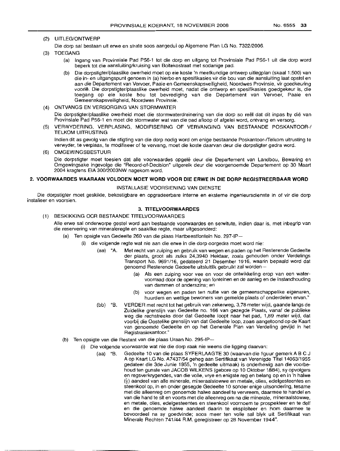## (2) UITLEG/ONTWERP

- Die dorp sal bestaan uit erwe en strale soos aangedui op Aigemene Plan LG No. 7322/2006.
- (3) TOEGANG
	- (a) Ingang van Provinsiale Pad P56-1 tot die dorp en uitgang 101 Provinsiale Pad P5E>-1 uil die dorp word beperk tot die aansluiting/kruising van Boitekostraat met sodanige pad.
	- (b) Die dorpstigter/plaaslike owerheid moet op eie kosle 'n meetkundige ontwerp uitlegplan (skaal1 :500) van die in- en uitgangspunl genoem in (a) hierbo en spesifikasies vir die bou van die aansluiting laal opslel en aan die Departement van Vervoer, Paaie en Gemeenskapsveiligheid, Noordwes Provinsie, vir goedkeuring voorle. Die dorpstigter/plaaslike owerheid moet, nadat die ontwerp en spesifikasies goedgekeur is, die toegang op eie koste bou tot bevrediging van die Departement van Vervoer, Paaie en Gemeenskapsveiligheid, Noordwes Provinsie.
- (4) ONTVANGS EN VERSORGING VAN STORMWATER

Die dorpstigter/plaaslike owerheid moet die stormwaterdreinering van die dorp so reel dat dit inpas by die van Provinsiale Pad P56-1 en moet die stormwater wat van die pad afloop of afgelei word, ontvang en versorg.

(5) VERWYDERING, VERPLASING, MODIFISERING OF VERVANGING VAN BESTAANDE POSKANTOOR-I TELKOM UITRUSTING

Indien dit as gevolg van die stigting van die dorp nodig word om enige beslaande Poskanloor-lTelkom uilrusling Ie verwyder, Ie verplaas, Ie modifiseer of te vervang, moet die koste daarvan deur die dorpstiqter gedra word.

(6) OMGEWINGSBESTUUR

Die dorpsligter moet toesien dat aile voorwaardes opqele deur die Departement van Landbou, Bewaring en Omgewingsake ingevolge die "Record-of-Decision" uitgereik deur die voorgenoemde Departement op 30 Maart 2004 kragtens EIA 300/2003NW nagekom word.

## **2. VOORWAARDES WAARAAN VOLDOEN MOET WORD VOOR DIE ERWE IN DIE DORP REGISTREERBAAR WORD**

#### INSTALLASIE VOORSIENING VAN DIENSTE

Die dorpstigler moet geskikte, bekostigbare en opgradeerbare inlerne en eksterne ingenieursdienste in of vir die dorp installeer en voorsien.

## **3. TITELVOORWAARDES**

(1) BESKIKKING OOR BESTAANDE TITELVOORWAARDES

Alle erwe sal onderworpe gestel word aan bestaande voorwaardes en serwitute, indien daar is, met inbegrip van die reservering van mineraleregte en saaklike regie, maar uilgesonderd:

- (a) Ten opsigte van Gedeelle 260 van die plaas Hartbeestfonlein No. 297-IP-
	- (i) die volgende regie wat nie aan die erwe in die dorp oorgedra moel word nie:
		- (aa) "A. Mel recht van zuiping en gebruik van wegen en paden op hel Hesterende Gedeelle der plaats, groot als zulks 24,3940 Hektaar, zoals gehouden onder Verdelings Transport No. 9691/16, gedaleerd 21 Desember 1916, waarin bepaald word dal genoemd Resterende Gedeelle uitsluitlik gebruikt zal worden--
			- Als een zuiping voor vee en voor de ontwikkeling erop van een watervoorraad door de opening van fonleinen en de aanleg en de instandhouding van dammen of anderszins; en
			- (b) voor wegen en paden ten nutte van de gemeenschappelike eigenaren, huurders en wettige bewoners van gemelde plaats of onderdelen ervan."
		- (bb) "B. VERDER met recht tot het gebruik van zekerweg, 3,78 meter wijd, gaande langs de Zuidelike grenslijn van Gedeelte no. 166 van gezegde Plaats, vanaf de publieke weg die rechstreeks door dat Gedeelte loopt naar het pad, 1,89 meter wijd, dat voorbij die Oostelike grenslijn van dat Gedeelte loop, zoals aangetoond op de Kaart van genoemde Gedeelte en op het Generale Plan van Verdeling gevijid in hel Registrasiekantoor."
- (b) Ten opsigte van die Restant van die plaas Uraan No. 295-IP-
	- (i) Die volgende voorwaarde wal nie die dorp raak nie weens die Iigging daarvan:
		- (aa) "B. Gedeelte 10 van die plaas SYFERLAAGTE 30 (waarvan die figuur gemerk ABC J A op Kaart LG No. A7437/54 geheg aan Sertifikaat van Vereniqde Titel14063/1955 gedateer die 3de Junie 1955, 'n gedeelte uitmaak) is onderhewig aan die voorbehoud len gunsle van JACOB WILKENS (gebore op 10 Oktober 1884), sy opvolgers en regsverkrygendes, van die volle, vrye en enigste reg en belang op en in 'n halwe  $(\frac{1}{2})$  aandeel van alle minerale, mineraalstowwe en metale, olies, edelgesteentes en steenkool op, in en onder gesegde Gedeelte 10 sonder enige uitsondering, tesame met die alleenreg om genoemde halwe aandeel te vervreem, daarmee te handel en van die hand te sit en voorts met die alleenreg om na die minerale, mineraalstowwe, en metale, olies, edelgesleenles en steenkool voornoem te prospekleer en te delf en die genoemde halwe aandeel daarin te eksploiteer en hom daarmee te bevoordeel na sy goedvinde; soos meer ten volle sal blyk uit Sertifikaat van Minerale Rechten 741/44 R.M. geregistreer op 28 November '1944".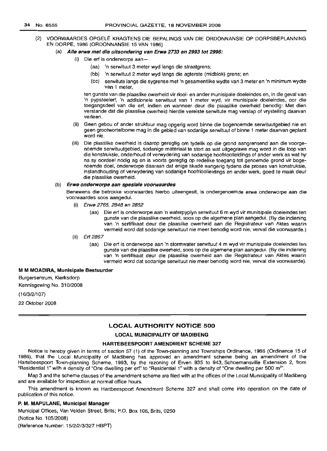(2) VOORWAARDES OPGELE KRAGTENS DIE BEPALINGS VAN DIE ORDONNANSIE OP DORPSBEPLANNING EN DORPE, 1986 (ORDONNANSIE 15 VAN 1986)

#### (a) AIle erwe met die uitsondering van Erwe 2733 en 2993 tot 2996:

- (i) Die ert is onderworpe aan-
	- (aa) 'n serwituut 3 meter wyd langs die straatgrens;
	- (bb) 'n serwituut 2 meter wyd langs die agterste (midblok) grens; en
	- (cc) serwitute langs die sygrense met 'n gesamentlike wydte van 3 meter en 'n minimum wydte van 1 meter,

ten gunste van die plaaslike owerheid vir riool- en ander munisipale doeleindes en, in die geval van 'n pypsteelert, 'n addisionele serwituut van 1 meter wyd, vir munisipale doeleindes, oor die toegangsdeel van die ert, indien en wanneer deur die plaaslike owerheid benodig: Met dien verstande dat die plaaslike owerheid hierdie vereiste serwitute mag verslap of vrystelling daarvan verleen.

- (ii) Geen gebou of ander struktuur mag opgerig word binne die bogenoemde serwituutgebied nie en geen grootwortelbome mag in die gebied van sodanige serwituut of binne 1 meter daarvan geplant word nie.
- (iii) Die plaaslike owerheid is daarop geregtig om tydelik op die grond aangrensend aan die voorgenoemde serwituutgebied, sodanige materiaal te stort as wat uitgegrawe mag word in die loop van die konstruksie, onderhoud of verwydering van sodanige hoofrioolleidings of ander werk as wat hy na sy oordeel nodig ag en is voorts geregtig op redelike toegang tot genoemde grand vir bogenoemde doel, onderworpe daaraan dat enige skade aangerig tydens die proses van konstruksie, instandhouding of verwydering van sodanige hoofrioolleidings en ander werk, goed te maak deur die plaaslike owerheid.

#### (b) Erwe onderworpe aan spesiale voorwaardes

Benewens die betrakke voorwaardes hierbo uiteengesit, is ondergenoemde erwe onderworpe aan die voorwaardes soos aangedui.

- (i) Erwe 2765, 2848 en 2852
	- (aa) Die ert is onderworpe aan 'n waterpyplyn serwituut 6 m wyd vir munisipale doeleindes ten gunste van die plaaslike owerheid, soos op die algemene plan aangedui. (By die indiening van 'n sertifikaat deur die plaaslike owerheid aan die Registrateur van Aktes waarin vermeld word dat sodanige serwituut nie meer benodig word nie, verval die voorwaarde.)
- (ii) Erf 2867
	- (aa) Die ert is onderworpe aan 'n stormwater serwituut 4 m wyd vir munisipale doeleindes ten gunste van die plaaslike owerheid, soos op die algemene plan aangedui. (By die indiening van 'n sertifikaat deur die plaaslike owerheid aan die Registrateur van Aktes waarin vermeld word dat sodanige serwituut nie meer benodig word nie, verval die voorwaarde).

## M M MOADIRA, Munisipale Bestuurder

Burgersentrum, Klerksdorp Kennisgewing No. 310/2008

(16/3/2/107)

22 Oktober 2008

#### LOCAL AUTHORITY NOTICE 500

#### LOCAL MUNICIPALITY OF MADIBENG

## HARTEBEESPOORT AMENDMENT SCHEME 327

Notice is hereby given in terms of section 57 (1) of the Town-planning and Townships Ordinance, 1986 (Ordinance 15 of 1986), that the Local Municipality of Madibeng has approved an amendment scheme being an amendment of the Hartebeespoort Town-planning Scheme, 1993, by the rezoning of Erven 935 to 943, Schoemansville Extension 2, from "Residential 1" with a density of "One dwelling per erf" to "Residential 1" with a density of "One dwelling per 500 m<sup>2</sup>".

Map 3 and the scheme clauses of the amendment scheme are filed with at the offices of the Local Municipality of Madibeng and are available for inspection at normal office hours.

This amendment is known as Hartbeespoort Amendment Scheme 327 and shall come into operation on the date of publication of this notice.

#### P. M. MAPULANE, Municipal Manager

Municipal Offices, Van Velden Street, Brits; P.O. Box 106, Brits, 0250 (Notice NO.1 OS/2008) (Reference Number: 15/2/2/3/327 HBPT)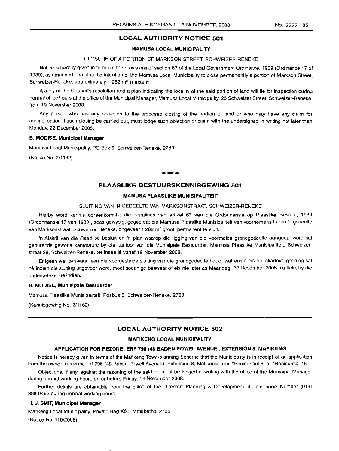## LOCAL AUTHORITY NOTICE 501

## MAMUSA LOCAL MUNICIPALITY

## CLOSURE OF A PORTION OF MARKSON STREET, SCHWEIZER-RENEKE

Notice is hereby given in terms of the provisions of section 67 of the Local Government Ordinance, 1939 (Ordinance 17 of 1939), as amended, that it is the intention of the Mamusa Local Municipality to close permanently a portion of Markson Street, Schweizer-Reneke, approximately 1 262  $m^2$  in extent.

A copy of the Council's resolution and a plan indicating the locality of the said portion of land will lie, for inspection during normal office hours at the office of the Municipal Manager, Mamusa Local Municipality, 28 Schweizer Street, Schweizer-Reneke, from 19 November 2008.

Any person who has any objection to the proposed closing of the portion of land or who may have any claim for compensation if such closing be carried out, must lodge such objection or claim with the undersigned in writing not later than Monday, 22 December 2008.

#### B. MODISE, Municipal Manager

Marnusa Local Municipality, PO Box 5, Schweizer-Reneke, 2780.

(Notice No. 2/1162)

## PLAASLIKE BESTUURSKENNISGEWING 501

**a •**

#### MAMUSA PLAASLIKE MUNISIPALITEIT

## SLUITING VAN 'N GEDEELTE VAN MARKSONSTRAAT, SCHWEIZER-RENEKE

Hierby word kennis ooreenkomstig die bepalings van artikel 67 van die Ordonnansie op Plaaslike Bestuur, 1939 (Orclonnansie 17 van 1939), soos gewysig, gegee dat die Mamusa Plaaslike Munisipaliteit van voornernens is om 'n gedeelte van Marksonstraat, Schweizer-Reneke, ongeveer 1 262 m<sup>2</sup> groot, permanent te sluit.

'n Afskrif van die Raad se besluit en 'n plan waarop die ligging van die voormelde grondgedeelte aangedui word sal gedurende gewone kantoorure by die kantoor van die Munisipale Bestuurder, Mamusa Plaaslike Munisipaliteit, Schweizerstraat 28, Schweizer-Reneke, ter insae Ie vanaf 19 November 2008.

Enigeen wat beswaar teen die voorgestelde sluiting van die grondgedeelte het of wat enige eis om skadevergoeding sal he indien die sluiting uitgevoer word, moet sodanige beswaar of eis nie later as Maandag, 22 Desember 2008 skriftelik by die ondergetekende indien.

#### B. MODISE, Munisipale Bestuurder

Marnusa Plaaslike Munisipaliteit, Posbus 5, Schweizer-Reneke, 2780

(Kennisgewing No. 2/1162)

## LOCAL AUTHORITY NOTICE 502

## MAFIKENG LOCAL MUNICIPALITY

#### APPLICATION FOR REZONE: ERF 796 (48 BADEN POWEL AVENUE), EXTENSION 8, MAFIKENG

Notice is hereby given in terms of the Mafikeng Town-planning Scheme that the Municipality is in receipt of an application from the owner to rezone Erf 796 (48 Baden Powell Avenue), Extension 8, Mafikeng, from "Residential 6" to "Residential 15".

Objections, if any, against the rezoning of the said erf must be lodged in writing with the office of the Municipal Manager during normal working hours on or before Friday, 14 November 2008.

Further details are obtainable from the office of the Director: Planning & Development at Telephone Number (018) 389-0462 during normal working hours.

## H. J., SMIT, Municipal Manager

Mafikeng Local Municipality, Private Bag X63, Mmabatho, 2735 (Notice No. 110/2008)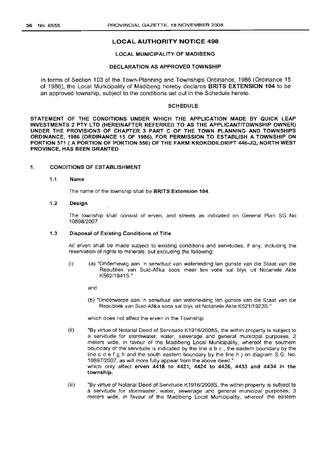## LOCAL AUTHORITY NOTICE 498

## LOCAL MUNICIPALITY OF MADIBENG

## DECLARATION AS APPROVED TOWNSHIP

In terms of Section 103 of the Town-Planning and Townships Ordinance, 1986 (Ordinance 15 of 1986), the Local Municipality of Madibeng hereby declares BRITS EXTENSION 104 to be an approved township, subject to the conditions set out in the Schedule hereto.

## **SCHEDULE**

STATEMENT OF THE CONDITIONS UNDER WHICH THE APPLICATION MADE BY QUICK LEAP INVESTMENTS 2 PTY LTD (HEREINAFTER REFERRED TO AS THE APPLICANT/TOWNSHIP OWNER) UNDER THE PROVISIONS OF CHAPTER 3 PART C OF THE TOWN PLANNING AND TOWNSHIPS ORDINANCE, 1986 (ORDINANCE 15 OF 1986), FOR PERMISSION TO ESTABLISH A TOWNSHIP ON PORTION 571 (A PORTION OF PORTION 556) OF THE FARM KROKODILDRIFT 446-JQ, NORTH WEST PROVINCE, HAS BEEN GRANTED

## 1. CONDITIONS OF ESTABLISHMENT

## 1.1 Name

The name of the township shall be BRITS Extension 104.

## 1.2 Design

The township shall consist of erven, and streets as indicated on General Plan SG No 10898/2007

## 1.3 Disposal of Existing Conditions of Title

All erven shall be made subject to existing conditions and servitudes, if any, including the reservation of rights to minerals, but excluding the following:

(i) (a) "Onderhewig aan 'n serwituut van waterleiding ten gunste van die Staat van die Republiek van Suid-Afika soos meer ten volle sal blyk uit Notariele Akte K562/1941S."

and

(b) "Onderworpe aan 'n serwituut van waterleiding ten gunste van die Staat van die Republiek van Suid-Afika soos sal blyk uit Notariele Akte K521/1923S."

which does not affect the erven in the Township.

- (ii) "By virtue of Notarial Deed of Servitude K1916/2008S, the within property is subject to a servitude for stormwater, water, sewerage and general municipal purposes, 2 meters wide, in favour of the Madibeng Local Municipality, whereof the southern boundary of the servitude is indicated by the line abc, the eastern boundary by the line c d e f g h and the south eastern boundary by the line h j on diagram S.G. No. 10897/2007, as will more fully appear from the above deed." which only affect erven 4418 to 4421, 4424 to 4426, 4433 and 4434 in the township.
- (iii) "By virtue of Notarial Deed of Servitude K1916/2008S, the within property is subject to a servitude for stormwater, water, sewerage and general municipal purposes, 3 meters wide, in favour of the Madibeng Local Municipality, whereof the eastern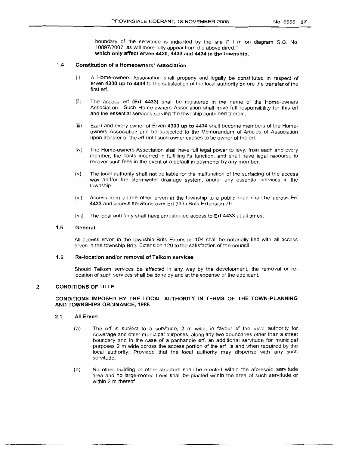boundary of the servitude is indicated by the line F I m on diagram S.G. No. 10897/2007, as will more fully appear from the above deed." which only affect erven 4420, 4433 and 4434 in the township.

## 1.4 Constitution of a Homeowners' Association

- (i) A Home-owners Association shall properly and legally be constituted in respect of erven 4300 up to 4434 to the satisfaction of the local authority before the transfer of the first erf.
- $(ii)$  The access erf (Erf 4433) shall be registered in the name of the Home-owners Association. Such Home-owners Association shall have full responsibility for this erf and the essential services serving the township contained therein.
- $(iii)$  Each and every owner of Erven 4300 up to 4434 shall become members of the Homeowners Association and be subjected to the Memorandum of Articles of Association upon transfer of the erf until such owner ceases to be owner of the erf.
- (iv) The Home-owners Association shall have full legal power to levy, from each and every member, the costs incurred in fulfilling its function, and shall have legal recourse to recover such fees in the event of a default in payments by any member.
- $(v)$  The local authority shall not be liable for the malfunction of the surfacing of the access way and/or the stormwater drainage system, and/or any essential services in the township.
- (vi) Access from all the other erven in the township to a public road shall be across Erf 4433 and access servitude over Erf 3335 Brits Extension 76.
- (Vii) The local authority shall have unrestricted access to Erf 4433 at all times.

## 1.5 General

All access erven in the township Brits Extension 104 shall be notarially tied with all access erven in the township Brits Extension 129 to the satisfaction of the council.

## 1.6 Re-Iocation and/or removal of Telkom services

Should Telkom services be affected in any way by the development, the removal or relocation of such services shall be done by and at the expense of the applicant.

## :2. CONDITIONS OF TITLE

## CONDITIONS IMPOSED BY THE LOCAL AUTHORITY IN TERMS OF THE TOWN-PLANNING AND TOWNSHIPS ORDINANCE, 1986

- 2.1 All Erven
	- (a) The erf is subject to a servitude, 2 m wide, in favour of the local authority for sewerage and other municipal purposes, along any two boundaries other than a street boundary and in the case of a panhandle erf, an additional servitude for municipal purposes 2 m wide across the access portion of the erf, is and when required by the local authority: Provided that the local authority may dispense with any such servitude.
	- (b) No other building or other structure shall be erected within the aforesaid servitude area and no large-rooted trees shall be planted within the area of such servitude or within 2 m thereof.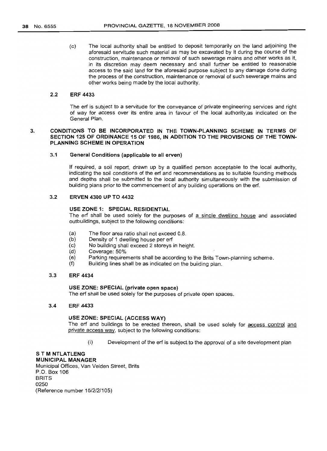(c) The local authority shall be entitled to deposit temporarily on the land adjoining the aforesaid servitude such material as may be excavated by it during the course of the construction, maintenance or removal of such sewerage mains and other works as it, in its discretion may deem necessary and shall further be entitled to reasonable access to the said land for the aforesaid purpose subject to any damage done during the process of the construction, maintenance or removal of such sewerage mains and other works being made by the local authority.

## 2.2 ERF 4433

The erf is subject to a servitude for the conveyance of private engineering services and right of way for access over its entire area in favour of the local authority.as indicated on the General Plan.

## 3. CONDITIONS TO BE INCORPORATED IN THE TOWN-PLANNING SCHEME IN TERMS OF SECTION 125 OF ORDINANCE 15 OF 1986, IN ADDITION TO THE PROVISIONS OF THE TOWN· PLANNING SCHEME IN OPERATION

## 3.1 General Conditions (applicable to all erven)

If required, a soil report, drawn up by a qualified person acceptable to the local authority, indicating the soil conditions of the erf and recommendations as to suitable founding methods and depths shall be submitted to the local authority simultaneously with the submission of building plans prior to the commencement of any building operations on the erf.

## 3.2 ERVEN 4300 UP TO 4432

## USE ZONE 1: SPECIAL RESIDENTIAL

The erf shall be used solely for the purposes of a single dwelling house and associated outbuildings, subject to the following conditions:

- (a) The floor area ratio shall not exceed 0,8.
- (b) Density of 1 dwelling house per erf<br>(c) No building shall exceed 2 storevs
- No building shall exceed 2 storeys in height.
- (d) Coverage: 50%
- (e) Parking requirements shall be according to the Brits Town-planning scheme.
- (f) Building lines shall be as indicated on the building plan.

## 3.3 ERF 4434

## USE ZONE: SPECIAL (private open space)

The erf shall be used solely for the purposes of private open spaces.

## 3.4 ERF 4433

#### USE ZONE: SPECIAL (ACCESS WAY)

The erf and buildings to be erected thereon, shall be used solely for access control and private access way, subject to the following conditions:

(i) Development of the erf is subject to the approval of a site development plan

## S T M NTLATLENG MUNICIPAL MANAGER

Municipal Offices, Van Velden Street, Brits P.O. Box 106 **BRITS** 0250 (Reference number 15/2/2/105)